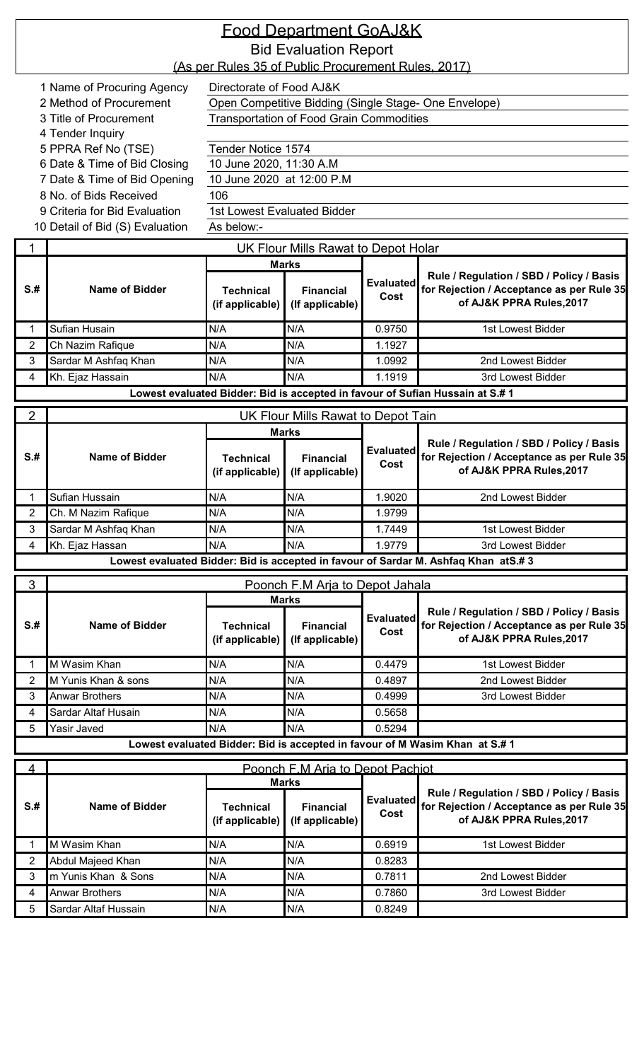|                 |                                 |                                                     | <u>Food Department GoAJ&amp;K</u>                   |                          |                                                                                                                   |
|-----------------|---------------------------------|-----------------------------------------------------|-----------------------------------------------------|--------------------------|-------------------------------------------------------------------------------------------------------------------|
|                 |                                 |                                                     | <b>Bid Evaluation Report</b>                        |                          |                                                                                                                   |
|                 |                                 | (As per Rules 35 of Public Procurement Rules, 2017) |                                                     |                          |                                                                                                                   |
|                 | 1 Name of Procuring Agency      | Directorate of Food AJ&K                            |                                                     |                          |                                                                                                                   |
|                 | 2 Method of Procurement         |                                                     |                                                     |                          | Open Competitive Bidding (Single Stage- One Envelope)                                                             |
|                 | 3 Title of Procurement          |                                                     | <b>Transportation of Food Grain Commodities</b>     |                          |                                                                                                                   |
|                 | 4 Tender Inquiry                |                                                     |                                                     |                          |                                                                                                                   |
|                 | 5 PPRA Ref No (TSE)             | Tender Notice 1574                                  |                                                     |                          |                                                                                                                   |
|                 | 6 Date & Time of Bid Closing    | 10 June 2020, 11:30 A.M                             |                                                     |                          |                                                                                                                   |
|                 | 7 Date & Time of Bid Opening    | 10 June 2020 at 12:00 P.M                           |                                                     |                          |                                                                                                                   |
|                 | 8 No. of Bids Received          | 106                                                 |                                                     |                          |                                                                                                                   |
|                 | 9 Criteria for Bid Evaluation   | <b>1st Lowest Evaluated Bidder</b><br>As below:-    |                                                     |                          |                                                                                                                   |
|                 | 10 Detail of Bid (S) Evaluation |                                                     |                                                     |                          |                                                                                                                   |
|                 |                                 |                                                     | UK Flour Mills Rawat to Depot Holar                 |                          |                                                                                                                   |
|                 |                                 |                                                     | <b>Marks</b>                                        |                          | Rule / Regulation / SBD / Policy / Basis                                                                          |
| S <sub>.#</sub> | <b>Name of Bidder</b>           | <b>Technical</b><br>(if applicable)                 | <b>Financial</b><br>(If applicable)                 | <b>Evaluated</b><br>Cost | for Rejection / Acceptance as per Rule 35<br>of AJ&K PPRA Rules, 2017                                             |
| 1               | Sufian Husain                   | N/A                                                 | N/A                                                 | 0.9750                   | 1st Lowest Bidder                                                                                                 |
| 2               | Ch Nazim Rafique                | N/A                                                 | N/A                                                 | 1.1927                   |                                                                                                                   |
| 3               | Sardar M Ashfaq Khan            | N/A                                                 | N/A                                                 | 1.0992                   | 2nd Lowest Bidder                                                                                                 |
| 4               | Kh. Ejaz Hassain                | N/A                                                 | N/A                                                 | 1.1919                   | 3rd Lowest Bidder                                                                                                 |
|                 |                                 |                                                     |                                                     |                          | Lowest evaluated Bidder: Bid is accepted in favour of Sufian Hussain at S.# 1                                     |
| 2               |                                 |                                                     | UK Flour Mills Rawat to Depot Tain                  |                          |                                                                                                                   |
| $S+$            | Name of Bidder                  | <b>Technical</b><br>(if applicable)                 | <b>Marks</b><br><b>Financial</b><br>(If applicable) | <b>Evaluated</b><br>Cost | Rule / Regulation / SBD / Policy / Basis<br>for Rejection / Acceptance as per Rule 35<br>of AJ&K PPRA Rules, 2017 |
|                 | Sufian Hussain                  | N/A                                                 | N/A                                                 | 1.9020                   | 2nd Lowest Bidder                                                                                                 |
| $\overline{2}$  | Ch. M Nazim Rafique             | N/A                                                 | N/A                                                 | 1.9799                   |                                                                                                                   |
| 3               | Sardar M Ashfaq Khan            | N/A                                                 | N/A                                                 | 1.7449                   | 1st Lowest Bidder                                                                                                 |
| 4               | Kh. Ejaz Hassan                 | N/A                                                 | N/A                                                 | 1.9779                   | 3rd Lowest Bidder                                                                                                 |
|                 |                                 |                                                     |                                                     |                          | Lowest evaluated Bidder: Bid is accepted in favour of Sardar M. Ashfaq Khan atS.#3                                |
| 3               |                                 |                                                     | Poonch F.M Arja to Depot Jahala                     |                          |                                                                                                                   |
|                 |                                 |                                                     | <b>Marks</b>                                        |                          |                                                                                                                   |
| S <sub>.#</sub> | <b>Name of Bidder</b>           | <b>Technical</b><br>(if applicable)                 | <b>Financial</b><br>(If applicable)                 | <b>Evaluated</b><br>Cost | Rule / Regulation / SBD / Policy / Basis<br>for Rejection / Acceptance as per Rule 35<br>of AJ&K PPRA Rules, 2017 |
|                 | M Wasim Khan                    | N/A                                                 | N/A                                                 | 0.4479                   | 1st Lowest Bidder                                                                                                 |
| 2               | M Yunis Khan & sons             | N/A                                                 | N/A                                                 | 0.4897                   | 2nd Lowest Bidder                                                                                                 |
| 3               | <b>Anwar Brothers</b>           | N/A                                                 | N/A                                                 | 0.4999                   | 3rd Lowest Bidder                                                                                                 |
| 4               | Sardar Altaf Husain             | N/A                                                 | N/A                                                 | 0.5658                   |                                                                                                                   |
| 5               | Yasir Javed                     | N/A                                                 | N/A                                                 | 0.5294                   |                                                                                                                   |
|                 |                                 |                                                     |                                                     |                          | Lowest evaluated Bidder: Bid is accepted in favour of M Wasim Khan at S.# 1                                       |
| $\overline{4}$  |                                 |                                                     | Poonch F.M Aria to Depot Pachiot                    |                          |                                                                                                                   |
| S <sub>.#</sub> | <b>Name of Bidder</b>           | <b>Technical</b><br>(if applicable)                 | <b>Marks</b><br><b>Financial</b><br>(If applicable) | <b>Evaluated</b><br>Cost | Rule / Regulation / SBD / Policy / Basis<br>for Rejection / Acceptance as per Rule 35<br>of AJ&K PPRA Rules, 2017 |
|                 | M Wasim Khan                    | N/A                                                 | N/A                                                 | 0.6919                   | 1st Lowest Bidder                                                                                                 |
| $\overline{2}$  | Abdul Majeed Khan               | N/A                                                 | N/A                                                 | 0.8283                   |                                                                                                                   |
| 3               | m Yunis Khan & Sons             | N/A                                                 | N/A                                                 | 0.7811                   | 2nd Lowest Bidder                                                                                                 |

4 Anwar Brothers N/A N/A N/A N/A 0.7860 3rd Lowest Bidder

5 Sardar Altaf Hussain N/A N/A N/A 0.8249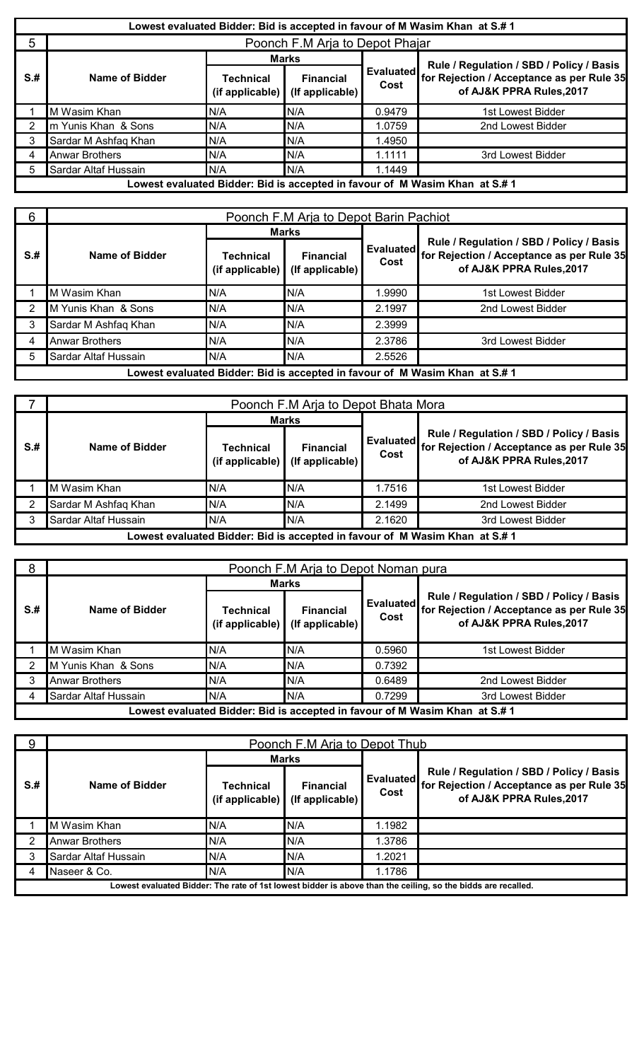|      |                       |                                             |                                     |                   | Lowest evaluated Bidder: Bid is accepted in favour of M Wasim Khan at S.# 1 |
|------|-----------------------|---------------------------------------------|-------------------------------------|-------------------|-----------------------------------------------------------------------------|
| 5    |                       |                                             | Poonch F.M Arja to Depot Phajar     |                   |                                                                             |
|      |                       |                                             | <b>Marks</b>                        |                   | Rule / Regulation / SBD / Policy / Basis                                    |
| $S+$ | Name of Bidder        | <b>Technical</b><br>(if applicable) $\vert$ | <b>Financial</b><br>(If applicable) | Evaluated<br>Cost | for Rejection / Acceptance as per Rule 35<br>of AJ&K PPRA Rules, 2017       |
|      | M Wasim Khan          | N/A                                         | N/A                                 | 0.9479            | 1st Lowest Bidder                                                           |
|      | m Yunis Khan & Sons   | N/A                                         | N/A                                 | 1.0759            | 2nd Lowest Bidder                                                           |
|      | Sardar M Ashfaq Khan  | N/A                                         | N/A                                 | 1.4950            |                                                                             |
|      | <b>Anwar Brothers</b> | N/A                                         | N/A                                 | 1.1111            | 3rd Lowest Bidder                                                           |
|      | Sardar Altaf Hussain  | N/A                                         | N/A                                 | 1.1449            |                                                                             |
|      |                       |                                             |                                     |                   | Lowest evaluated Bidder: Bid is accepted in favour of M Wasim Khan at S.# 1 |

| 6    |                       | Poonch F.M Arja to Depot Barin Pachiot |                                     |                   |                                                                                                                   |  |  |  |  |  |
|------|-----------------------|----------------------------------------|-------------------------------------|-------------------|-------------------------------------------------------------------------------------------------------------------|--|--|--|--|--|
|      |                       |                                        | <b>Marks</b>                        |                   |                                                                                                                   |  |  |  |  |  |
| $S+$ | Name of Bidder        | <b>Technical</b><br>(if applicable)    | <b>Financial</b><br>(If applicable) | Evaluated<br>Cost | Rule / Regulation / SBD / Policy / Basis<br>for Rejection / Acceptance as per Rule 35<br>of AJ&K PPRA Rules, 2017 |  |  |  |  |  |
|      | M Wasim Khan          | N/A                                    | N/A                                 | 1.9990            | 1st Lowest Bidder                                                                                                 |  |  |  |  |  |
|      | M Yunis Khan & Sons   | N/A                                    | N/A                                 | 2.1997            | 2nd Lowest Bidder                                                                                                 |  |  |  |  |  |
|      | Sardar M Ashfaq Khan  | N/A                                    | N/A                                 | 2.3999            |                                                                                                                   |  |  |  |  |  |
|      | <b>Anwar Brothers</b> | N/A                                    | N/A                                 | 2.3786            | 3rd Lowest Bidder                                                                                                 |  |  |  |  |  |
|      | Sardar Altaf Hussain  | N/A                                    | N/A                                 | 2.5526            |                                                                                                                   |  |  |  |  |  |
|      |                       |                                        |                                     |                   | Lowest evaluated Bidder: Bid is accepted in favour of M Wasim Khan at S.# 1                                       |  |  |  |  |  |

|      |                      | Poonch F.M Arja to Depot Bhata Mora         |                                     |                   |                                                                                                                   |  |  |  |  |
|------|----------------------|---------------------------------------------|-------------------------------------|-------------------|-------------------------------------------------------------------------------------------------------------------|--|--|--|--|
|      |                      |                                             | <b>Marks</b>                        |                   |                                                                                                                   |  |  |  |  |
| $S+$ | Name of Bidder       | Technical<br>(if applicable) $\blacksquare$ | <b>Financial</b><br>(If applicable) | Evaluated<br>Cost | Rule / Regulation / SBD / Policy / Basis<br>for Rejection / Acceptance as per Rule 35<br>of AJ&K PPRA Rules, 2017 |  |  |  |  |
|      | M Wasim Khan         | N/A                                         | N/A                                 | 1.7516            | 1st Lowest Bidder                                                                                                 |  |  |  |  |
|      | Sardar M Ashfaq Khan | N/A                                         | N/A                                 | 2.1499            | 2nd Lowest Bidder                                                                                                 |  |  |  |  |
|      | Sardar Altaf Hussain | N/A                                         | N/A                                 | 2.1620            | 3rd Lowest Bidder                                                                                                 |  |  |  |  |
|      |                      |                                             |                                     |                   | Lowest evaluated Bidder: Bid is accepted in favour of M Wasim Khan at S.# 1                                       |  |  |  |  |

| 8    |                       |                                 |                                           | Poonch F.M Arja to Depot Noman pura |                                                                                                                   |  |
|------|-----------------------|---------------------------------|-------------------------------------------|-------------------------------------|-------------------------------------------------------------------------------------------------------------------|--|
|      |                       |                                 | <b>Marks</b>                              |                                     |                                                                                                                   |  |
| $S+$ | <b>Name of Bidder</b> | Technical<br>$(i$ f applicable) | <b>Financial</b><br>$($ If applicable $)$ | Evaluated<br>Cost                   | Rule / Regulation / SBD / Policy / Basis<br>for Rejection / Acceptance as per Rule 35<br>of AJ&K PPRA Rules, 2017 |  |
|      | M Wasim Khan          | N/A                             | N/A                                       | 0.5960                              | 1st Lowest Bidder                                                                                                 |  |
|      | M Yunis Khan & Sons   | N/A                             | N/A                                       | 0.7392                              |                                                                                                                   |  |
|      | <b>Anwar Brothers</b> | N/A                             | N/A                                       | 0.6489                              | 2nd Lowest Bidder                                                                                                 |  |
|      | Sardar Altaf Hussain  | N/A                             | N/A                                       | 0.7299                              | 3rd Lowest Bidder                                                                                                 |  |
|      |                       |                                 |                                           |                                     | Lowest evaluated Bidder: Bid is accepted in favour of M Wasim Khan at S.# 1                                       |  |

| 9    |                       | Poonch F.M Arja to Depot Thub   |                                     |                   |                                                                                                                   |  |  |  |
|------|-----------------------|---------------------------------|-------------------------------------|-------------------|-------------------------------------------------------------------------------------------------------------------|--|--|--|
|      |                       |                                 | <b>Marks</b>                        |                   |                                                                                                                   |  |  |  |
| $S+$ | Name of Bidder        | Technical<br>$(i$ f applicable) | <b>Financial</b><br>(If applicable) | Evaluated<br>Cost | Rule / Regulation / SBD / Policy / Basis<br>for Rejection / Acceptance as per Rule 35<br>of AJ&K PPRA Rules, 2017 |  |  |  |
|      | M Wasim Khan          | N/A                             | N/A                                 | 1.1982            |                                                                                                                   |  |  |  |
|      | <b>Anwar Brothers</b> | N/A                             | N/A                                 | 1.3786            |                                                                                                                   |  |  |  |
|      | Sardar Altaf Hussain  | N/A                             | N/A                                 | 1.2021            |                                                                                                                   |  |  |  |
|      | Naseer & Co.          | N/A                             | N/A                                 | 1.1786            |                                                                                                                   |  |  |  |
|      |                       |                                 |                                     |                   | Lowest evaluated Bidder: The rate of 1st lowest bidder is above than the ceiling, so the bidds are recalled.      |  |  |  |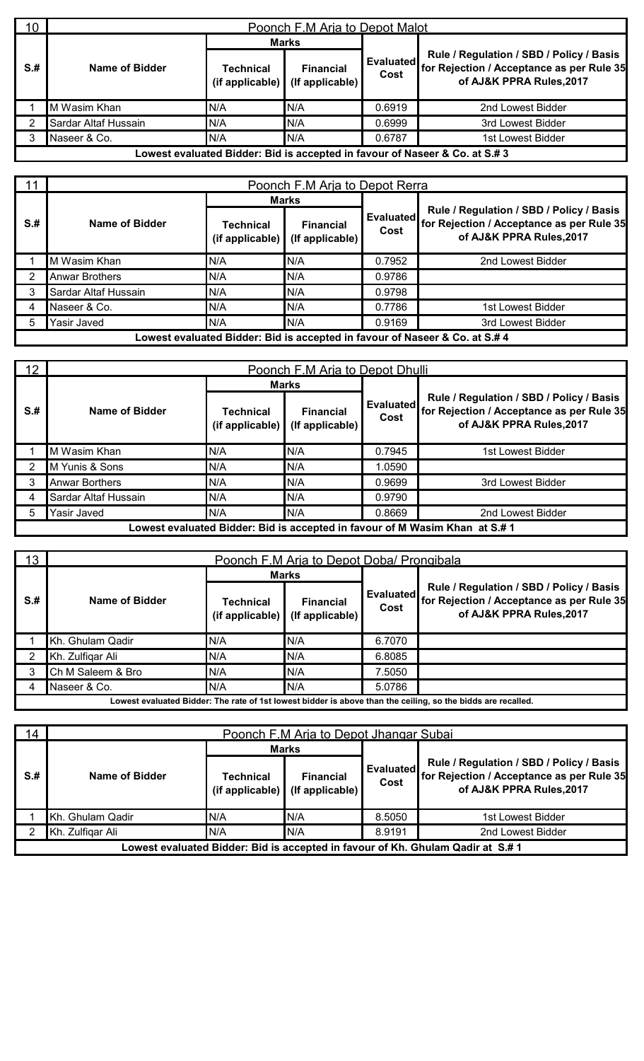| 10 <sup>1</sup> |                      | Poonch F.M Aria to Depot Malot |                                                     |                          |                                                                                                                   |  |  |  |  |  |
|-----------------|----------------------|--------------------------------|-----------------------------------------------------|--------------------------|-------------------------------------------------------------------------------------------------------------------|--|--|--|--|--|
|                 |                      | <b>Marks</b>                   |                                                     |                          |                                                                                                                   |  |  |  |  |  |
| $S+$            | Name of Bidder       | Technical                      | <b>Financial</b><br>(if applicable) (If applicable) | <b>Evaluated</b><br>Cost | Rule / Regulation / SBD / Policy / Basis<br>for Rejection / Acceptance as per Rule 35<br>of AJ&K PPRA Rules, 2017 |  |  |  |  |  |
|                 | M Wasim Khan         | N/A                            | N/A                                                 | 0.6919                   | 2nd Lowest Bidder                                                                                                 |  |  |  |  |  |
|                 | Sardar Altaf Hussain | N/A                            | N/A                                                 | 0.6999                   | 3rd Lowest Bidder                                                                                                 |  |  |  |  |  |
| 3               | Naseer & Co.         | N/A                            | N/A                                                 | 0.6787                   | 1st Lowest Bidder                                                                                                 |  |  |  |  |  |
|                 |                      |                                |                                                     |                          | Lowest evaluated Bidder: Bid is accepted in favour of Naseer & Co. at S.# 3                                       |  |  |  |  |  |

| 11   |                       | Poonch F.M Aria to Depot Rerra |                                     |                   |                                                                                                                   |  |  |  |  |
|------|-----------------------|--------------------------------|-------------------------------------|-------------------|-------------------------------------------------------------------------------------------------------------------|--|--|--|--|
|      |                       |                                | <b>Marks</b>                        |                   |                                                                                                                   |  |  |  |  |
| $S+$ | Name of Bidder        | Technical<br>(if applicable)   | <b>Financial</b><br>(If applicable) | Evaluated<br>Cost | Rule / Regulation / SBD / Policy / Basis<br>for Rejection / Acceptance as per Rule 35<br>of AJ&K PPRA Rules, 2017 |  |  |  |  |
|      | M Wasim Khan          | N/A                            | N/A                                 | 0.7952            | 2nd Lowest Bidder                                                                                                 |  |  |  |  |
| 2    | <b>Anwar Brothers</b> | N/A                            | N/A                                 | 0.9786            |                                                                                                                   |  |  |  |  |
| 3    | Sardar Altaf Hussain  | N/A                            | N/A                                 | 0.9798            |                                                                                                                   |  |  |  |  |
| 4    | Naseer & Co.          | N/A                            | N/A                                 | 0.7786            | 1st Lowest Bidder                                                                                                 |  |  |  |  |
| 5    | Yasir Javed           | N/A                            | N/A                                 | 0.9169            | 3rd Lowest Bidder                                                                                                 |  |  |  |  |
|      |                       |                                |                                     |                   | Lowest evaluated Bidder: Bid is accepted in favour of Naseer & Co. at S.# 4                                       |  |  |  |  |

| 12 <sup>2</sup> |                       | Poonch F.M Arja to Depot Dhulli |                                     |                          |                                                                                                                   |  |  |  |  |  |
|-----------------|-----------------------|---------------------------------|-------------------------------------|--------------------------|-------------------------------------------------------------------------------------------------------------------|--|--|--|--|--|
|                 |                       |                                 | <b>Marks</b>                        |                          |                                                                                                                   |  |  |  |  |  |
| $S+$            | Name of Bidder        | Technical<br>(if applicable)    | <b>Financial</b><br>(If applicable) | <b>Evaluated</b><br>Cost | Rule / Regulation / SBD / Policy / Basis<br>for Rejection / Acceptance as per Rule 35<br>of AJ&K PPRA Rules, 2017 |  |  |  |  |  |
|                 | M Wasim Khan          | N/A                             | N/A                                 | 0.7945                   | 1st Lowest Bidder                                                                                                 |  |  |  |  |  |
|                 | M Yunis & Sons        | N/A                             | N/A                                 | 1.0590                   |                                                                                                                   |  |  |  |  |  |
|                 | <b>Anwar Borthers</b> | N/A                             | N/A                                 | 0.9699                   | 3rd Lowest Bidder                                                                                                 |  |  |  |  |  |
|                 | Sardar Altaf Hussain  | N/A                             | N/A                                 | 0.9790                   |                                                                                                                   |  |  |  |  |  |
| 5               | Yasir Javed           | N/A                             | N/A                                 | 0.8669                   | 2nd Lowest Bidder                                                                                                 |  |  |  |  |  |
|                 |                       |                                 |                                     |                          | Lowest evaluated Bidder: Bid is accepted in favour of M Wasim Khan at S.# 1                                       |  |  |  |  |  |

| 13   |                   | Poonch F.M Arja to Depot Doba/ Prongibala |                                           |                   |                                                                                                                   |  |
|------|-------------------|-------------------------------------------|-------------------------------------------|-------------------|-------------------------------------------------------------------------------------------------------------------|--|
|      |                   |                                           | Marks                                     |                   |                                                                                                                   |  |
| $S+$ | Name of Bidder    | Technical<br>$(i$ f applicable $)$        | <b>Financial</b><br>$($ If applicable $)$ | Evaluated<br>Cost | Rule / Regulation / SBD / Policy / Basis<br>for Rejection / Acceptance as per Rule 35<br>of AJ&K PPRA Rules, 2017 |  |
|      | Kh. Ghulam Qadir  | N/A                                       | 'N/A                                      | 6.7070            |                                                                                                                   |  |
|      | Kh. Zulfigar Ali  | N/A                                       | N/A                                       | 6.8085            |                                                                                                                   |  |
|      | Ch M Saleem & Bro | N/A                                       | N/A                                       | 7.5050            |                                                                                                                   |  |
|      | Naseer & Co.      | N/A                                       | N/A                                       | 5.0786            |                                                                                                                   |  |
|      |                   |                                           |                                           |                   | Lowest evaluated Bidder: The rate of 1st lowest bidder is above than the ceiling, so the bidds are recalled.      |  |

| 14   |                  |                                      | Poonch F.M Arja to Depot Jhangar Subai |                   |                                                                                                                   |  |
|------|------------------|--------------------------------------|----------------------------------------|-------------------|-------------------------------------------------------------------------------------------------------------------|--|
|      |                  | <b>Marks</b>                         |                                        |                   |                                                                                                                   |  |
| $S+$ | Name of Bidder   | Technical<br>(if applicable) $\vert$ | <b>Financial</b><br>(If applicable)    | Evaluated<br>Cost | Rule / Regulation / SBD / Policy / Basis<br>for Rejection / Acceptance as per Rule 35<br>of AJ&K PPRA Rules, 2017 |  |
|      | Kh. Ghulam Qadir | N/A                                  | N/A                                    | 8.5050            | 1st Lowest Bidder                                                                                                 |  |
|      | Kh. Zulfigar Ali | N/A                                  | N/A                                    | 8.9191            | 2nd Lowest Bidder                                                                                                 |  |
|      |                  |                                      |                                        |                   | Lowest evaluated Bidder: Bid is accepted in favour of Kh. Ghulam Qadir at S.#1                                    |  |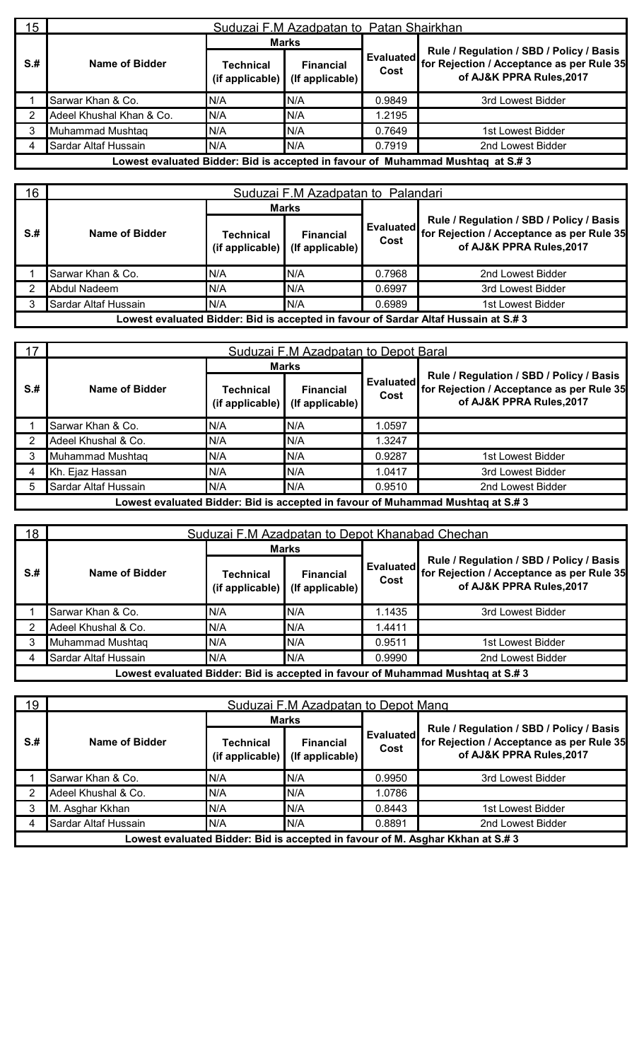| 15 <sub>1</sub> |                          | Suduzai F.M Azadpatan to Patan Shairkhan |                                           |                          |                                                                                                                   |  |  |  |  |
|-----------------|--------------------------|------------------------------------------|-------------------------------------------|--------------------------|-------------------------------------------------------------------------------------------------------------------|--|--|--|--|
|                 |                          | <b>Marks</b>                             |                                           |                          |                                                                                                                   |  |  |  |  |
| $S+$            | Name of Bidder           | Technical<br>$(i$ f applicable)          | <b>Financial</b><br>$($ If applicable $)$ | <b>Evaluated</b><br>Cost | Rule / Regulation / SBD / Policy / Basis<br>for Rejection / Acceptance as per Rule 35<br>of AJ&K PPRA Rules, 2017 |  |  |  |  |
|                 | Sarwar Khan & Co.        | N/A                                      | N/A                                       | 0.9849                   | 3rd Lowest Bidder                                                                                                 |  |  |  |  |
|                 | Adeel Khushal Khan & Co. | N/A                                      | N/A                                       | 1.2195                   |                                                                                                                   |  |  |  |  |
|                 | Muhammad Mushtaq         | N/A                                      | N/A                                       | 0.7649                   | 1st Lowest Bidder                                                                                                 |  |  |  |  |
| 4               | Sardar Altaf Hussain     | N/A                                      | N/A                                       | 0.7919                   | 2nd Lowest Bidder                                                                                                 |  |  |  |  |
|                 |                          |                                          |                                           |                          | Lowest evaluated Bidder: Bid is accepted in favour of Muhammad Mushtaq at S.#3                                    |  |  |  |  |

| 16 <sub>1</sub> | Suduzai F.M Azadpatan to Palandari |                              |                                           |                          |                                                                                                                   |  |  |  |
|-----------------|------------------------------------|------------------------------|-------------------------------------------|--------------------------|-------------------------------------------------------------------------------------------------------------------|--|--|--|
|                 |                                    | <b>Marks</b>                 |                                           |                          |                                                                                                                   |  |  |  |
| $S+$            | Name of Bidder                     | Technical<br>(if applicable) | <b>Financial</b><br>$($ If applicable $)$ | <b>Evaluated</b><br>Cost | Rule / Regulation / SBD / Policy / Basis<br>for Rejection / Acceptance as per Rule 35<br>of AJ&K PPRA Rules, 2017 |  |  |  |
|                 | Sarwar Khan & Co.                  | N/A                          | N/A                                       | 0.7968                   | 2nd Lowest Bidder                                                                                                 |  |  |  |
|                 | Abdul Nadeem                       | N/A                          | N/A                                       | 0.6997                   | 3rd Lowest Bidder                                                                                                 |  |  |  |
|                 | Sardar Altaf Hussain               | N/A                          | N/A                                       | 0.6989                   | 1st Lowest Bidder                                                                                                 |  |  |  |
|                 |                                    |                              |                                           |                          | Lowest evaluated Bidder: Bid is accepted in favour of Sardar Altaf Hussain at S.#3                                |  |  |  |

| 17   | Suduzai F.M Azadpatan to Depot Baral |                                             |                                     |                   |                                                                                                                   |  |  |  |
|------|--------------------------------------|---------------------------------------------|-------------------------------------|-------------------|-------------------------------------------------------------------------------------------------------------------|--|--|--|
|      | Name of Bidder                       | <b>Marks</b>                                |                                     |                   |                                                                                                                   |  |  |  |
| $S+$ |                                      | Technical<br>(if applicable) $\blacksquare$ | <b>Financial</b><br>(If applicable) | Evaluated<br>Cost | Rule / Regulation / SBD / Policy / Basis<br>for Rejection / Acceptance as per Rule 35<br>of AJ&K PPRA Rules, 2017 |  |  |  |
|      | Sarwar Khan & Co.                    | N/A                                         | N/A                                 | 1.0597            |                                                                                                                   |  |  |  |
|      | Adeel Khushal & Co.                  | N/A                                         | N/A                                 | 1.3247            |                                                                                                                   |  |  |  |
|      | Muhammad Mushtaq                     | N/A                                         | N/A                                 | 0.9287            | 1st Lowest Bidder                                                                                                 |  |  |  |
|      | Kh. Ejaz Hassan                      | N/A                                         | N/A                                 | 1.0417            | 3rd Lowest Bidder                                                                                                 |  |  |  |
|      | Sardar Altaf Hussain                 | N/A                                         | N/A                                 | 0.9510            | 2nd Lowest Bidder                                                                                                 |  |  |  |
|      |                                      |                                             |                                     |                   | Lowest evaluated Bidder: Bid is accepted in favour of Muhammad Mushtaq at S.# 3                                   |  |  |  |

| 18   | Suduzai F.M Azadpatan to Depot Khanabad Chechan |                              |                                     |                   |                                                                                                                   |  |  |  |
|------|-------------------------------------------------|------------------------------|-------------------------------------|-------------------|-------------------------------------------------------------------------------------------------------------------|--|--|--|
|      |                                                 | <b>Marks</b>                 |                                     |                   |                                                                                                                   |  |  |  |
| $S+$ | Name of Bidder                                  | Technical<br>(if applicable) | <b>Financial</b><br>(If applicable) | Evaluated<br>Cost | Rule / Regulation / SBD / Policy / Basis<br>for Rejection / Acceptance as per Rule 35<br>of AJ&K PPRA Rules, 2017 |  |  |  |
|      | Sarwar Khan & Co.                               | N/A                          | N/A                                 | 1.1435            | 3rd Lowest Bidder                                                                                                 |  |  |  |
|      | Adeel Khushal & Co.                             | N/A                          | N/A                                 | 1.4411            |                                                                                                                   |  |  |  |
| 3    | Muhammad Mushtag                                | N/A                          | N/A                                 | 0.9511            | 1st Lowest Bidder                                                                                                 |  |  |  |
| 4    | Sardar Altaf Hussain                            | N/A                          | N/A                                 | 0.9990            | 2nd Lowest Bidder                                                                                                 |  |  |  |
|      |                                                 |                              |                                     |                   | Lowest evaluated Bidder: Bid is accepted in favour of Muhammad Mushtaq at S.# 3                                   |  |  |  |

| 19   | Suduzai F.M Azadpatan to Depot Mang |                                 |                                     |                   |                                                                                                                   |  |  |  |
|------|-------------------------------------|---------------------------------|-------------------------------------|-------------------|-------------------------------------------------------------------------------------------------------------------|--|--|--|
|      |                                     | <b>Marks</b>                    |                                     |                   |                                                                                                                   |  |  |  |
| $S+$ | Name of Bidder                      | Technical<br>$(i$ f applicable) | <b>Financial</b><br>(If applicable) | Evaluated<br>Cost | Rule / Regulation / SBD / Policy / Basis<br>for Rejection / Acceptance as per Rule 35<br>of AJ&K PPRA Rules, 2017 |  |  |  |
|      | Sarwar Khan & Co.                   | N/A                             | IN/A                                | 0.9950            | 3rd Lowest Bidder                                                                                                 |  |  |  |
|      | Adeel Khushal & Co.                 | N/A                             | N/A                                 | 1.0786            |                                                                                                                   |  |  |  |
|      | M. Asghar Kkhan                     | N/A                             | N/A                                 | 0.8443            | 1st Lowest Bidder                                                                                                 |  |  |  |
|      | Sardar Altaf Hussain                | N/A                             | N/A                                 | 0.8891            | 2nd Lowest Bidder                                                                                                 |  |  |  |
|      |                                     |                                 |                                     |                   | Lowest evaluated Bidder: Bid is accepted in favour of M. Asghar Kkhan at S.#3                                     |  |  |  |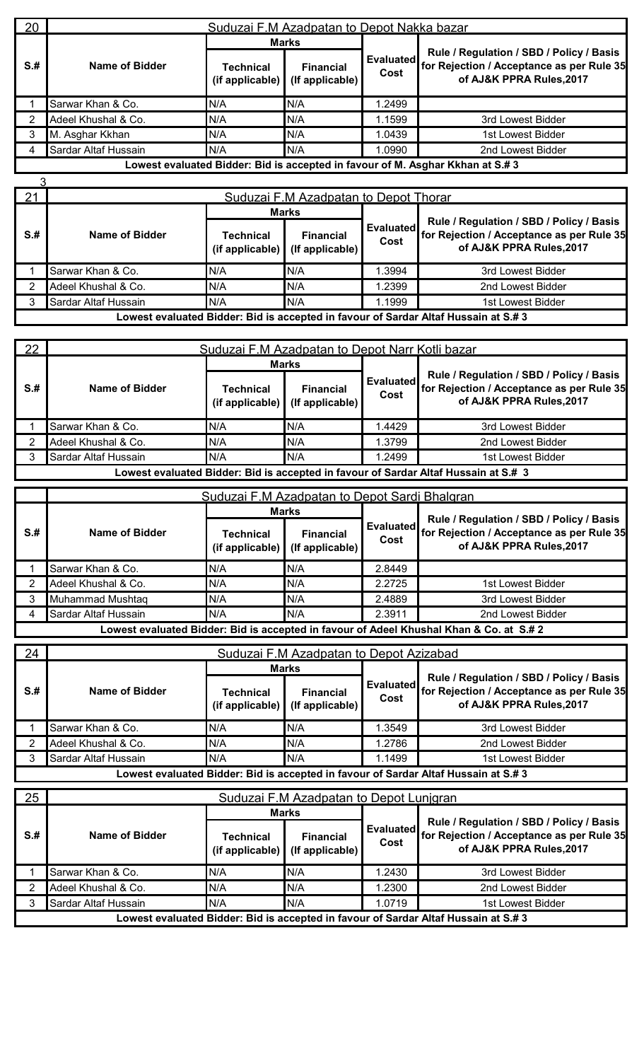| 20   | Suduzai F.M Azadpatan to Depot Nakka bazar |                              |                                     |                   |                                                                                                                   |  |  |  |  |
|------|--------------------------------------------|------------------------------|-------------------------------------|-------------------|-------------------------------------------------------------------------------------------------------------------|--|--|--|--|
|      |                                            | <b>Marks</b>                 |                                     |                   |                                                                                                                   |  |  |  |  |
| $S+$ | Name of Bidder                             | Technical<br>(if applicable) | <b>Financial</b><br>(If applicable) | Evaluated<br>Cost | Rule / Regulation / SBD / Policy / Basis<br>for Rejection / Acceptance as per Rule 35<br>of AJ&K PPRA Rules, 2017 |  |  |  |  |
|      | Sarwar Khan & Co.                          | N/A                          | N/A                                 | 1.2499            |                                                                                                                   |  |  |  |  |
|      | Adeel Khushal & Co.                        | N/A                          | N/A                                 | 1.1599            | 3rd Lowest Bidder                                                                                                 |  |  |  |  |
| 3    | M. Asghar Kkhan                            | N/A                          | N/A                                 | 1.0439            | 1st Lowest Bidder                                                                                                 |  |  |  |  |
|      | Sardar Altaf Hussain                       | N/A                          | N/A                                 | 1.0990            | 2nd Lowest Bidder                                                                                                 |  |  |  |  |
|      |                                            |                              |                                     |                   | Lowest evaluated Bidder: Bid is accepted in favour of M. Asghar Kkhan at S.#3                                     |  |  |  |  |

| 21   | Suduzai F.M Azadpatan to Depot Thorar |                              |                                     |                   |                                                                                                                   |  |  |  |  |
|------|---------------------------------------|------------------------------|-------------------------------------|-------------------|-------------------------------------------------------------------------------------------------------------------|--|--|--|--|
|      |                                       | <b>Marks</b>                 |                                     |                   |                                                                                                                   |  |  |  |  |
| $S+$ | Name of Bidder                        | Technical<br>(if applicable) | <b>Financial</b><br>(If applicable) | Evaluated<br>Cost | Rule / Regulation / SBD / Policy / Basis<br>for Rejection / Acceptance as per Rule 35<br>of AJ&K PPRA Rules, 2017 |  |  |  |  |
|      | Sarwar Khan & Co.                     | N/A                          | N/A                                 | .3994             | 3rd Lowest Bidder                                                                                                 |  |  |  |  |
|      | Adeel Khushal & Co.                   | N/A                          | N/A                                 | 1.2399            | 2nd Lowest Bidder                                                                                                 |  |  |  |  |
|      | Sardar Altaf Hussain                  | N/A                          | N/A                                 | 1.1999            | 1st Lowest Bidder                                                                                                 |  |  |  |  |
|      |                                       |                              |                                     |                   | Lowest evaluated Bidder: Bid is accepted in favour of Sardar Altaf Hussain at S.#3                                |  |  |  |  |

| 22   | Suduzai F.M Azadpatan to Depot Narr Kotli bazar |                                                          |                 |                          |                                                                                                                   |  |  |  |
|------|-------------------------------------------------|----------------------------------------------------------|-----------------|--------------------------|-------------------------------------------------------------------------------------------------------------------|--|--|--|
|      |                                                 | <b>Marks</b>                                             |                 |                          |                                                                                                                   |  |  |  |
| $S+$ | Name of Bidder                                  | <b>Financial</b><br>Technical<br>(if applicable) $\vert$ | (If applicable) | <b>Evaluated</b><br>Cost | Rule / Regulation / SBD / Policy / Basis<br>for Rejection / Acceptance as per Rule 35<br>of AJ&K PPRA Rules, 2017 |  |  |  |
|      | Sarwar Khan & Co.                               | N/A                                                      | N/A             | 1.4429                   | 3rd Lowest Bidder                                                                                                 |  |  |  |
|      | Adeel Khushal & Co.                             | N/A                                                      | N/A             | 1.3799                   | 2nd Lowest Bidder                                                                                                 |  |  |  |
|      | Sardar Altaf Hussain                            | N/A                                                      | N/A             | 1.2499                   | 1st Lowest Bidder                                                                                                 |  |  |  |
|      |                                                 |                                                          |                 |                          | Lowest evaluated Bidder: Bid is accepted in favour of Sardar Altaf Hussain at S.# 3                               |  |  |  |

|      | Suduzai F.M Azadpatan to Depot Sardi Bhalgran |                              |                                     |                          |                                                                                                                   |  |  |  |  |
|------|-----------------------------------------------|------------------------------|-------------------------------------|--------------------------|-------------------------------------------------------------------------------------------------------------------|--|--|--|--|
|      |                                               | <b>Marks</b>                 |                                     |                          |                                                                                                                   |  |  |  |  |
| $S+$ | Name of Bidder                                | Technical<br>(if applicable) | <b>Financial</b><br>(If applicable) | <b>Evaluated</b><br>Cost | Rule / Regulation / SBD / Policy / Basis<br>for Rejection / Acceptance as per Rule 35<br>of AJ&K PPRA Rules, 2017 |  |  |  |  |
|      | Sarwar Khan & Co.                             | N/A                          | N/A                                 | 2.8449                   |                                                                                                                   |  |  |  |  |
| 2    | Adeel Khushal & Co.                           | N/A                          | N/A                                 | 2.2725                   | 1st Lowest Bidder                                                                                                 |  |  |  |  |
| 3    | Muhammad Mushtag                              | N/A                          | IN/A                                | 2.4889                   | 3rd Lowest Bidder                                                                                                 |  |  |  |  |
| 4    | Sardar Altaf Hussain                          | N/A                          | N/A                                 | 2.3911                   | 2nd Lowest Bidder                                                                                                 |  |  |  |  |
|      |                                               |                              |                                     |                          | Lowest evaluated Bidder: Bid is accepted in favour of Adeel Khushal Khan & Co. at S.# 2                           |  |  |  |  |

| 24   | Suduzai F.M Azadpatan to Depot Azizabad |                                 |                                           |                          |                                                                                                                   |  |  |  |  |
|------|-----------------------------------------|---------------------------------|-------------------------------------------|--------------------------|-------------------------------------------------------------------------------------------------------------------|--|--|--|--|
|      |                                         | <b>Marks</b>                    |                                           |                          |                                                                                                                   |  |  |  |  |
| $S+$ | Name of Bidder                          | Technical<br>$(i$ f applicable) | <b>Financial</b><br>$($ If applicable $)$ | <b>Evaluated</b><br>Cost | Rule / Regulation / SBD / Policy / Basis<br>for Rejection / Acceptance as per Rule 35<br>of AJ&K PPRA Rules, 2017 |  |  |  |  |
|      | Sarwar Khan & Co.                       | N/A                             | N/A                                       | .3549                    | 3rd Lowest Bidder                                                                                                 |  |  |  |  |
|      | Adeel Khushal & Co.                     | N/A                             | N/A                                       | 1.2786                   | 2nd Lowest Bidder                                                                                                 |  |  |  |  |
|      | Sardar Altaf Hussain                    | N/A                             | N/A                                       | 1.1499                   | 1st Lowest Bidder                                                                                                 |  |  |  |  |
|      |                                         |                                 |                                           |                          | Lowest evaluated Bidder: Bid is accepted in favour of Sardar Altaf Hussain at S.# 3                               |  |  |  |  |

| 25   | Suduzai F.M Azadpatan to Depot Lunigran |           |                                                     |                   |                                                                                                                   |  |  |  |
|------|-----------------------------------------|-----------|-----------------------------------------------------|-------------------|-------------------------------------------------------------------------------------------------------------------|--|--|--|
|      |                                         |           | <b>Marks</b>                                        |                   |                                                                                                                   |  |  |  |
| $S+$ | Name of Bidder                          | Technical | <b>Financial</b><br>(if applicable) (If applicable) | Evaluated<br>Cost | Rule / Regulation / SBD / Policy / Basis<br>for Rejection / Acceptance as per Rule 35<br>of AJ&K PPRA Rules, 2017 |  |  |  |
|      | Sarwar Khan & Co.                       | N/A       | N/A                                                 | 1.2430            | 3rd Lowest Bidder                                                                                                 |  |  |  |
|      | Adeel Khushal & Co.                     | N/A       | N/A                                                 | 1.2300            | 2nd Lowest Bidder                                                                                                 |  |  |  |
|      | Sardar Altaf Hussain                    | N/A       | N/A                                                 | 1.0719            | 1st Lowest Bidder                                                                                                 |  |  |  |
|      |                                         |           |                                                     |                   | Lowest evaluated Bidder: Bid is accepted in favour of Sardar Altaf Hussain at S.#3                                |  |  |  |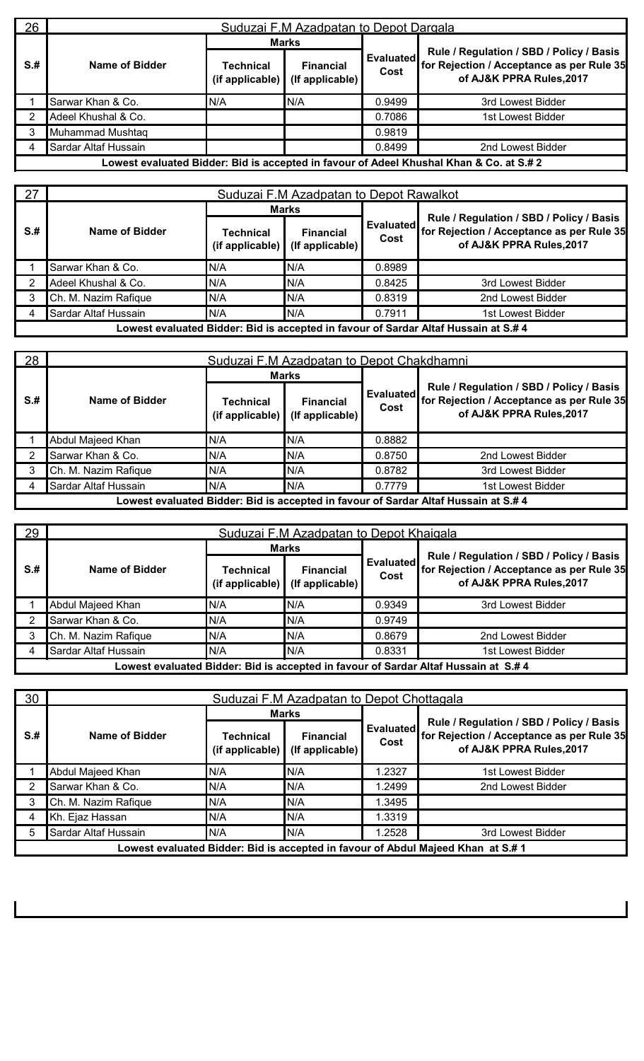| 26   | Suduzai F.M Azadpatan to Depot Dargala |                                          |                                     |                   |                                                                                                                   |  |  |  |
|------|----------------------------------------|------------------------------------------|-------------------------------------|-------------------|-------------------------------------------------------------------------------------------------------------------|--|--|--|
|      |                                        | <b>Marks</b>                             |                                     |                   |                                                                                                                   |  |  |  |
| $S+$ | Name of Bidder                         | Technical<br>(if applicable) $\parallel$ | <b>Financial</b><br>(If applicable) | Evaluated<br>Cost | Rule / Regulation / SBD / Policy / Basis<br>for Rejection / Acceptance as per Rule 35<br>of AJ&K PPRA Rules, 2017 |  |  |  |
|      | Sarwar Khan & Co.                      | N/A                                      | N/A                                 | 0.9499            | 3rd Lowest Bidder                                                                                                 |  |  |  |
|      | Adeel Khushal & Co.                    |                                          |                                     | 0.7086            | 1st Lowest Bidder                                                                                                 |  |  |  |
|      | Muhammad Mushtaq                       |                                          |                                     | 0.9819            |                                                                                                                   |  |  |  |
|      | Sardar Altaf Hussain                   |                                          |                                     | 0.8499            | 2nd Lowest Bidder                                                                                                 |  |  |  |
|      |                                        |                                          |                                     |                   | Lowest evaluated Bidder: Bid is accepted in favour of Adeel Khushal Khan & Co. at S.# 2                           |  |  |  |

| 27   | Suduzai F.M Azadpatan to Depot Rawalkot |                                 |                                     |                          |                                                                                                                   |  |  |
|------|-----------------------------------------|---------------------------------|-------------------------------------|--------------------------|-------------------------------------------------------------------------------------------------------------------|--|--|
|      |                                         | <b>Marks</b>                    |                                     |                          |                                                                                                                   |  |  |
| $S+$ | Name of Bidder                          | Technical<br>$(i$ f applicable) | <b>Financial</b><br>(If applicable) | <b>Evaluated</b><br>Cost | Rule / Regulation / SBD / Policy / Basis<br>for Rejection / Acceptance as per Rule 35<br>of AJ&K PPRA Rules, 2017 |  |  |
|      | Sarwar Khan & Co.                       | N/A                             | N/A                                 | 0.8989                   |                                                                                                                   |  |  |
|      | Adeel Khushal & Co.                     | N/A                             | N/A                                 | 0.8425                   | 3rd Lowest Bidder                                                                                                 |  |  |
|      | Ch. M. Nazim Rafique                    | N/A                             | N/A                                 | 0.8319                   | 2nd Lowest Bidder                                                                                                 |  |  |
|      | Sardar Altaf Hussain                    | N/A                             | N/A                                 | 0.7911                   | 1st Lowest Bidder                                                                                                 |  |  |
|      |                                         |                                 |                                     |                          | Lowest evaluated Bidder: Bid is accepted in favour of Sardar Altaf Hussain at S.# 4                               |  |  |

28 Suduzai F.M Azadpatan to Depot Chakdhamni **S.# Name of Bidder Marks Evaluated for Rejection / Acceptance as perRule 35 Cost Rule / Regulation / SBD / Policy / Basis of AJ&K PPRA Rules,2017 Technical (if applicable) Financial** Evaluated **(If applicable)** 1 Abdul Majeed Khan N/A N/A N/A 0.8882 2 Sarwar Khan & Co. N/A N/A N/A N/A 0.8750 2nd Lowest Bidder 3 Ch. M. Nazim Rafique N/A N/A N/A N/A 0.8782 3rd Lowest Bidder 4 Sardar Altaf Hussain N/A N/A N/A N/A 0.7779 1st Lowest Bidder **Lowest evaluated Bidder: Bid is accepted in favour of Sardar Altaf Hussain at S.# 4**

| 29   | Suduzai F.M Azadpatan to Depot Khaigala |                                      |                                           |                          |                                                                                                                   |  |  |  |
|------|-----------------------------------------|--------------------------------------|-------------------------------------------|--------------------------|-------------------------------------------------------------------------------------------------------------------|--|--|--|
|      |                                         | <b>Marks</b>                         |                                           |                          |                                                                                                                   |  |  |  |
| $S+$ | Name of Bidder                          | Technical<br>(if applicable) $\vert$ | <b>Financial</b><br>$($ lf applicable $)$ | <b>Evaluated</b><br>Cost | Rule / Regulation / SBD / Policy / Basis<br>for Rejection / Acceptance as per Rule 35<br>of AJ&K PPRA Rules, 2017 |  |  |  |
|      | Abdul Majeed Khan                       | N/A                                  | N/A                                       | 0.9349                   | 3rd Lowest Bidder                                                                                                 |  |  |  |
|      | Sarwar Khan & Co.                       | N/A                                  | N/A                                       | 0.9749                   |                                                                                                                   |  |  |  |
| 3    | Ch. M. Nazim Rafique                    | N/A                                  | N/A                                       | 0.8679                   | 2nd Lowest Bidder                                                                                                 |  |  |  |
|      | Sardar Altaf Hussain                    | N/A                                  | N/A                                       | 0.8331                   | 1st Lowest Bidder                                                                                                 |  |  |  |
|      |                                         |                                      |                                           |                          | Lowest evaluated Bidder: Bid is accepted in favour of Sardar Altaf Hussain at S.# 4                               |  |  |  |

| 30   |                      |                                        | Suduzai F.M Azadpatan to Depot Chottagala |                   |                                                                                                                   |
|------|----------------------|----------------------------------------|-------------------------------------------|-------------------|-------------------------------------------------------------------------------------------------------------------|
|      |                      | <b>Marks</b>                           |                                           |                   |                                                                                                                   |
| $S+$ | Name of Bidder       | <b>Technical</b><br>$(i$ f applicable) | <b>Financial</b><br>(If applicable)       | Evaluated<br>Cost | Rule / Regulation / SBD / Policy / Basis<br>for Rejection / Acceptance as per Rule 35<br>of AJ&K PPRA Rules, 2017 |
|      | Abdul Majeed Khan    | N/A                                    | N/A                                       | 1.2327            | 1st Lowest Bidder                                                                                                 |
|      | Sarwar Khan & Co.    | N/A                                    | N/A                                       | 1.2499            | 2nd Lowest Bidder                                                                                                 |
|      | Ch. M. Nazim Rafique | N/A                                    | N/A                                       | 1.3495            |                                                                                                                   |
|      | Kh. Ejaz Hassan      | N/A                                    | N/A                                       | 1.3319            |                                                                                                                   |
|      | Sardar Altaf Hussain | N/A                                    | N/A                                       | 1.2528            | 3rd Lowest Bidder                                                                                                 |
|      |                      |                                        |                                           |                   | Lowest evaluated Bidder: Bid is accepted in favour of Abdul Majeed Khan at S.# 1                                  |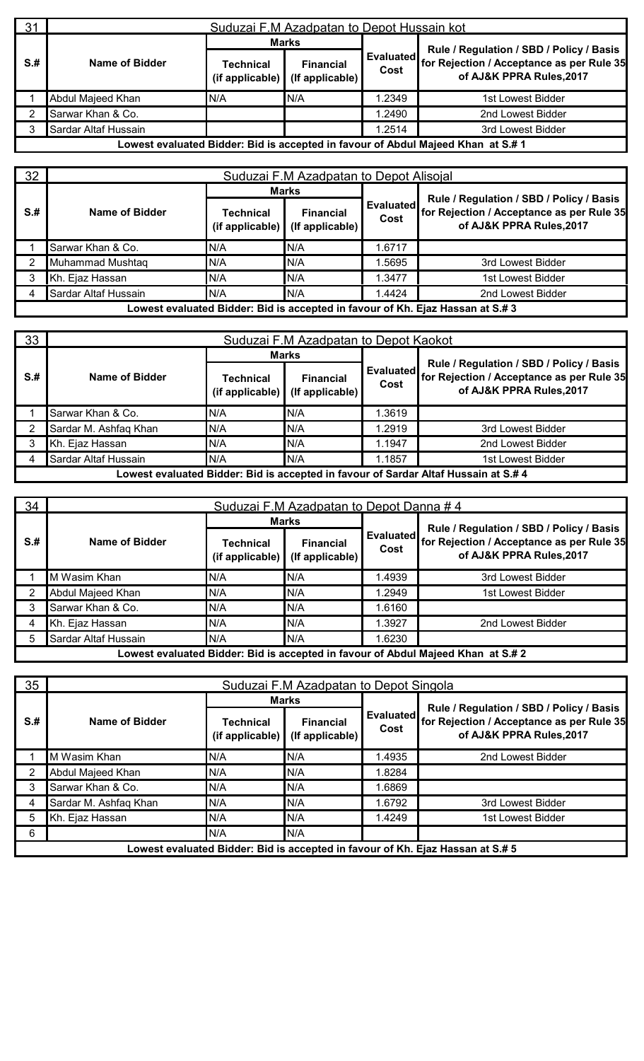| 31   | Suduzai F.M Azadpatan to Depot Hussain kot |                                             |                                           |                   |                                                                                                                   |  |  |  |  |
|------|--------------------------------------------|---------------------------------------------|-------------------------------------------|-------------------|-------------------------------------------------------------------------------------------------------------------|--|--|--|--|
|      |                                            | <b>Marks</b>                                |                                           |                   |                                                                                                                   |  |  |  |  |
| $S+$ | Name of Bidder                             | Technical<br>(if applicable) $\blacksquare$ | <b>Financial</b><br>$($ If applicable $)$ | Evaluated<br>Cost | Rule / Regulation / SBD / Policy / Basis<br>for Rejection / Acceptance as per Rule 35<br>of AJ&K PPRA Rules, 2017 |  |  |  |  |
|      | Abdul Majeed Khan                          | N/A                                         | N/A                                       | 1.2349            | 1st Lowest Bidder                                                                                                 |  |  |  |  |
|      | Sarwar Khan & Co.                          |                                             |                                           | .2490             | 2nd Lowest Bidder                                                                                                 |  |  |  |  |
|      | Sardar Altaf Hussain                       |                                             |                                           | 1.2514            | 3rd Lowest Bidder                                                                                                 |  |  |  |  |
|      |                                            |                                             |                                           |                   | Lowest evaluated Bidder: Bid is accepted in favour of Abdul Maieed Khan  at S.# 1                                 |  |  |  |  |

**Lowest evaluated Bidder: Bid isaccepted in favour of Abdul Majeed Khan at S.# 1**

| 32   | Suduzai F.M Azadpatan to Depot Alisojal                                        |                              |                                     |                   |                                                                                                                   |  |  |  |  |
|------|--------------------------------------------------------------------------------|------------------------------|-------------------------------------|-------------------|-------------------------------------------------------------------------------------------------------------------|--|--|--|--|
|      |                                                                                | <b>Marks</b>                 |                                     |                   |                                                                                                                   |  |  |  |  |
| $S+$ | Name of Bidder                                                                 | Technical<br>(if applicable) | <b>Financial</b><br>(If applicable) | Evaluated<br>Cost | Rule / Regulation / SBD / Policy / Basis<br>for Rejection / Acceptance as per Rule 35<br>of AJ&K PPRA Rules, 2017 |  |  |  |  |
|      | Sarwar Khan & Co.                                                              | N/A                          | N/A                                 | 1.6717            |                                                                                                                   |  |  |  |  |
|      | Muhammad Mushtaq                                                               | N/A                          | N/A                                 | .5695             | 3rd Lowest Bidder                                                                                                 |  |  |  |  |
| 3    | Kh. Ejaz Hassan                                                                | N/A                          | N/A                                 | 1.3477            | 1st Lowest Bidder                                                                                                 |  |  |  |  |
| 4    | Sardar Altaf Hussain                                                           | N/A                          | N/A                                 | 1.4424            | 2nd Lowest Bidder                                                                                                 |  |  |  |  |
|      | Lowest evaluated Bidder: Bid is accepted in favour of Kh. Ejaz Hassan at S.# 3 |                              |                                     |                   |                                                                                                                   |  |  |  |  |

| 33   | Suduzai F.M Azadpatan to Depot Kaokot                                               |                                             |                                           |                          |                                                                                                                   |  |  |  |  |  |
|------|-------------------------------------------------------------------------------------|---------------------------------------------|-------------------------------------------|--------------------------|-------------------------------------------------------------------------------------------------------------------|--|--|--|--|--|
|      |                                                                                     |                                             | <b>Marks</b>                              |                          |                                                                                                                   |  |  |  |  |  |
| $S+$ | Name of Bidder                                                                      | Technical<br>(if applicable) $\blacksquare$ | <b>Financial</b><br>$($ If applicable $)$ | <b>Evaluated</b><br>Cost | Rule / Regulation / SBD / Policy / Basis<br>for Rejection / Acceptance as per Rule 35<br>of AJ&K PPRA Rules, 2017 |  |  |  |  |  |
|      | Sarwar Khan & Co.                                                                   | N/A                                         | N/A                                       | .3619                    |                                                                                                                   |  |  |  |  |  |
|      | Sardar M. Ashfaq Khan                                                               | N/A                                         | N/A                                       | .2919                    | 3rd Lowest Bidder                                                                                                 |  |  |  |  |  |
|      | Kh. Ejaz Hassan                                                                     | N/A                                         | N/A                                       | 1.1947                   | 2nd Lowest Bidder                                                                                                 |  |  |  |  |  |
|      | Sardar Altaf Hussain                                                                | N/A                                         | N/A                                       | 1.1857                   | 1st Lowest Bidder                                                                                                 |  |  |  |  |  |
|      | Lowest evaluated Bidder: Bid is accepted in favour of Sardar Altaf Hussain at S.# 4 |                                             |                                           |                          |                                                                                                                   |  |  |  |  |  |

| 34   | Suduzai F.M Azadpatan to Depot Danna #4 |                              |                                     |                   |                                                                                                                   |  |  |  |  |
|------|-----------------------------------------|------------------------------|-------------------------------------|-------------------|-------------------------------------------------------------------------------------------------------------------|--|--|--|--|
|      |                                         |                              | <b>Marks</b>                        |                   |                                                                                                                   |  |  |  |  |
| $S+$ | Name of Bidder                          | Technical<br>(if applicable) | <b>Financial</b><br>(If applicable) | Evaluated<br>Cost | Rule / Regulation / SBD / Policy / Basis<br>for Rejection / Acceptance as per Rule 35<br>of AJ&K PPRA Rules, 2017 |  |  |  |  |
|      | M Wasim Khan                            | N/A                          | N/A                                 | 1.4939            | 3rd Lowest Bidder                                                                                                 |  |  |  |  |
|      | Abdul Majeed Khan                       | N/A                          | N/A                                 | 1.2949            | 1st Lowest Bidder                                                                                                 |  |  |  |  |
|      | Sarwar Khan & Co.                       | N/A                          | N/A                                 | 1.6160            |                                                                                                                   |  |  |  |  |
|      | Kh. Ejaz Hassan                         | N/A                          | N/A                                 | 1.3927            | 2nd Lowest Bidder                                                                                                 |  |  |  |  |
| 5    | Sardar Altaf Hussain                    | N/A                          | N/A                                 | 1.6230            |                                                                                                                   |  |  |  |  |
|      |                                         |                              |                                     |                   | Owest evaluated Ridber: Rid is accepted in favour of Abdul Majeed Khan at S # 2                                   |  |  |  |  |

**Lowest evaluated Bidder: Bid isaccepted in favour of Abdul Majeed Khan at S.# 2**

| 35   |                       |                                        | Suduzai F.M Azadpatan to Depot Singola |                   |                                                                                                                   |
|------|-----------------------|----------------------------------------|----------------------------------------|-------------------|-------------------------------------------------------------------------------------------------------------------|
|      |                       | <b>Marks</b>                           |                                        |                   |                                                                                                                   |
| $S+$ | Name of Bidder        | <b>Technical</b><br>$(i$ f applicable) | <b>Financial</b><br>(If applicable)    | Evaluated<br>Cost | Rule / Regulation / SBD / Policy / Basis<br>for Rejection / Acceptance as per Rule 35<br>of AJ&K PPRA Rules, 2017 |
|      | M Wasim Khan          | N/A                                    | N/A                                    | 1.4935            | 2nd Lowest Bidder                                                                                                 |
|      | Abdul Majeed Khan     | N/A                                    | N/A                                    | 1.8284            |                                                                                                                   |
|      | Sarwar Khan & Co.     | N/A                                    | N/A                                    | 1.6869            |                                                                                                                   |
|      | Sardar M. Ashfaq Khan | N/A                                    | N/A                                    | 1.6792            | 3rd Lowest Bidder                                                                                                 |
|      | Kh. Ejaz Hassan       | N/A                                    | N/A                                    | 1.4249            | 1st Lowest Bidder                                                                                                 |
| 6    |                       | N/A                                    | N/A                                    |                   |                                                                                                                   |
|      |                       |                                        |                                        |                   | Lowest evaluated Bidder: Bid is accepted in favour of Kh. Ejaz Hassan at S.# 5                                    |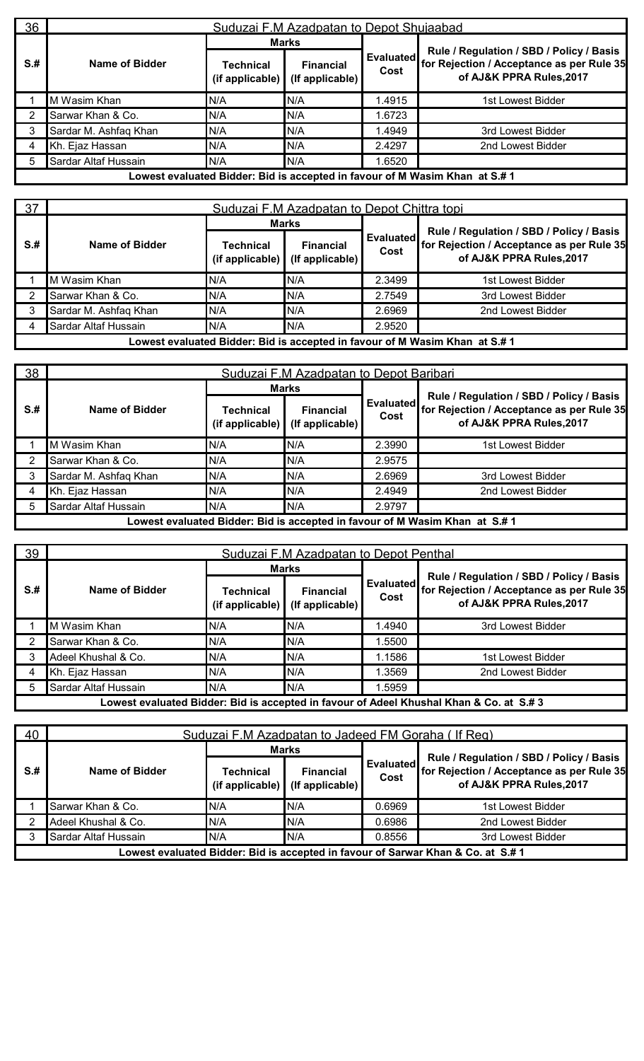| 36   | Suduzai F.M Azadpatan to Depot Shujaabad |                              |                                     |                   |                                                                                                                   |  |  |  |  |
|------|------------------------------------------|------------------------------|-------------------------------------|-------------------|-------------------------------------------------------------------------------------------------------------------|--|--|--|--|
|      |                                          |                              | <b>Marks</b>                        |                   |                                                                                                                   |  |  |  |  |
| $S+$ | Name of Bidder                           | Technical<br>(if applicable) | <b>Financial</b><br>(If applicable) | Evaluated<br>Cost | Rule / Regulation / SBD / Policy / Basis<br>for Rejection / Acceptance as per Rule 35<br>of AJ&K PPRA Rules, 2017 |  |  |  |  |
|      | M Wasim Khan                             | N/A                          | N/A                                 | 1.4915            | 1st Lowest Bidder                                                                                                 |  |  |  |  |
| 2    | Sarwar Khan & Co.                        | N/A                          | N/A                                 | 1.6723            |                                                                                                                   |  |  |  |  |
| 3    | Sardar M. Ashfaq Khan                    | N/A                          | N/A                                 | 1.4949            | 3rd Lowest Bidder                                                                                                 |  |  |  |  |
| 4    | Kh. Ejaz Hassan                          | N/A                          | N/A                                 | 2.4297            | 2nd Lowest Bidder                                                                                                 |  |  |  |  |
| 5    | Sardar Altaf Hussain                     | N/A                          | N/A                                 | 1.6520            |                                                                                                                   |  |  |  |  |
|      |                                          |                              |                                     |                   | Lowest evaluated Bidder: Bid is accepted in favour of M Wasim Khan at S.# 1                                       |  |  |  |  |

| 37   | Suduzai F.M Azadpatan to Depot Chittra topi                                 |                              |                                     |                   |                                                                                                                   |  |  |  |
|------|-----------------------------------------------------------------------------|------------------------------|-------------------------------------|-------------------|-------------------------------------------------------------------------------------------------------------------|--|--|--|
|      |                                                                             | <b>Marks</b>                 |                                     |                   |                                                                                                                   |  |  |  |
| $S+$ | Name of Bidder                                                              | Technical<br>(if applicable) | <b>Financial</b><br>(If applicable) | Evaluated<br>Cost | Rule / Regulation / SBD / Policy / Basis<br>for Rejection / Acceptance as per Rule 35<br>of AJ&K PPRA Rules, 2017 |  |  |  |
|      | M Wasim Khan                                                                | N/A                          | N/A                                 | 2.3499            | 1st Lowest Bidder                                                                                                 |  |  |  |
|      | Sarwar Khan & Co.                                                           | N/A                          | N/A                                 | 2.7549            | 3rd Lowest Bidder                                                                                                 |  |  |  |
|      | Sardar M. Ashfaq Khan                                                       | N/A                          | N/A                                 | 2.6969            | 2nd Lowest Bidder                                                                                                 |  |  |  |
|      | Sardar Altaf Hussain                                                        | N/A                          | N/A                                 | 2.9520            |                                                                                                                   |  |  |  |
|      | Lowest evaluated Bidder: Bid is accepted in favour of M Wasim Khan at S.# 1 |                              |                                     |                   |                                                                                                                   |  |  |  |

| 38   | Suduzai F.M Azadpatan to Depot Baribari                                     |                                 |                                     |                   |                                                                                                                   |  |  |  |  |  |
|------|-----------------------------------------------------------------------------|---------------------------------|-------------------------------------|-------------------|-------------------------------------------------------------------------------------------------------------------|--|--|--|--|--|
|      |                                                                             | <b>Marks</b>                    |                                     |                   |                                                                                                                   |  |  |  |  |  |
| $S+$ | Name of Bidder                                                              | Technical<br>$(i$ f applicable) | <b>Financial</b><br>(If applicable) | Evaluated<br>Cost | Rule / Regulation / SBD / Policy / Basis<br>for Rejection / Acceptance as per Rule 35<br>of AJ&K PPRA Rules, 2017 |  |  |  |  |  |
|      | M Wasim Khan                                                                | N/A                             | N/A                                 | 2.3990            | 1st Lowest Bidder                                                                                                 |  |  |  |  |  |
|      | Sarwar Khan & Co.                                                           | N/A                             | N/A                                 | 2.9575            |                                                                                                                   |  |  |  |  |  |
|      | Sardar M. Ashfaq Khan                                                       | N/A                             | N/A                                 | 2.6969            | 3rd Lowest Bidder                                                                                                 |  |  |  |  |  |
|      | Kh. Ejaz Hassan                                                             | N/A                             | N/A                                 | 2.4949            | 2nd Lowest Bidder                                                                                                 |  |  |  |  |  |
|      | Sardar Altaf Hussain                                                        | N/A                             | N/A                                 | 2.9797            |                                                                                                                   |  |  |  |  |  |
|      | Lowest evaluated Bidder: Bid is accepted in favour of M Wasim Khan at S.# 1 |                                 |                                     |                   |                                                                                                                   |  |  |  |  |  |

| 39   | Suduzai F.M Azadpatan to Depot Penthal |                              |                                     |                   |                                                                                                                   |  |  |  |
|------|----------------------------------------|------------------------------|-------------------------------------|-------------------|-------------------------------------------------------------------------------------------------------------------|--|--|--|
|      |                                        | <b>Marks</b>                 |                                     |                   |                                                                                                                   |  |  |  |
| $S+$ | Name of Bidder                         | Technical<br>(if applicable) | <b>Financial</b><br>(If applicable) | Evaluated<br>Cost | Rule / Regulation / SBD / Policy / Basis<br>for Rejection / Acceptance as per Rule 35<br>of AJ&K PPRA Rules, 2017 |  |  |  |
|      | M Wasim Khan                           | N/A                          | N/A                                 | 1.4940            | 3rd Lowest Bidder                                                                                                 |  |  |  |
| 2    | Sarwar Khan & Co.                      | N/A                          | N/A                                 | 1.5500            |                                                                                                                   |  |  |  |
| 3    | Adeel Khushal & Co.                    | N/A                          | N/A                                 | 1.1586            | 1st Lowest Bidder                                                                                                 |  |  |  |
| 4    | Kh. Ejaz Hassan                        | N/A                          | N/A                                 | .3569             | 2nd Lowest Bidder                                                                                                 |  |  |  |
| 5    | Sardar Altaf Hussain                   | N/A                          | N/A                                 | .5959             |                                                                                                                   |  |  |  |
|      |                                        |                              |                                     |                   | Lowest evaluated Bidder: Bid is accepted in favour of Adeel Khushal Khan & Co. at S.#3                            |  |  |  |

| 40   | Suduzai F.M Azadpatan to Jadeed FM Goraha (If Req)                              |                                 |                                     |                   |                                                                                                                   |  |  |  |  |
|------|---------------------------------------------------------------------------------|---------------------------------|-------------------------------------|-------------------|-------------------------------------------------------------------------------------------------------------------|--|--|--|--|
|      |                                                                                 | <b>Marks</b>                    |                                     |                   |                                                                                                                   |  |  |  |  |
| $S+$ | Name of Bidder                                                                  | Technical<br>$(i$ f applicable) | <b>Financial</b><br>(If applicable) | Evaluated<br>Cost | Rule / Regulation / SBD / Policy / Basis<br>for Rejection / Acceptance as per Rule 35<br>of AJ&K PPRA Rules, 2017 |  |  |  |  |
|      | Sarwar Khan & Co.                                                               | N/A                             | IN/A                                | 0.6969            | 1st Lowest Bidder                                                                                                 |  |  |  |  |
|      | Adeel Khushal & Co.                                                             | N/A                             | N/A                                 | 0.6986            | 2nd Lowest Bidder                                                                                                 |  |  |  |  |
|      | Sardar Altaf Hussain                                                            | N/A                             | N/A                                 | 0.8556            | 3rd Lowest Bidder                                                                                                 |  |  |  |  |
|      | Lowest evaluated Bidder: Bid is accepted in favour of Sarwar Khan & Co. at S.#1 |                                 |                                     |                   |                                                                                                                   |  |  |  |  |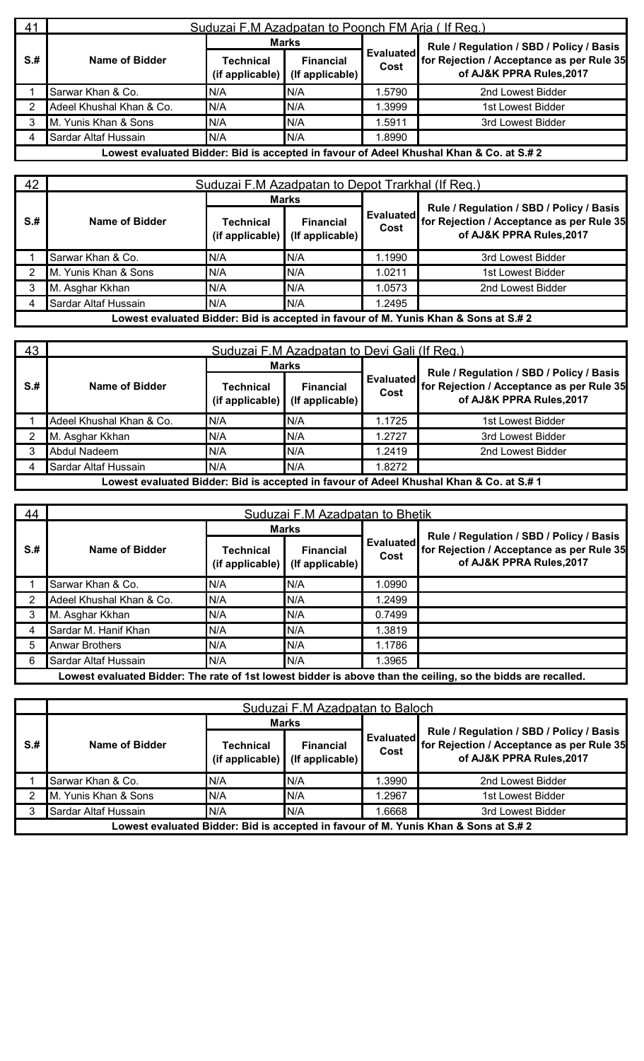| -41  | Suduzai F.M Azadpatan to Poonch FM Aria (If Reg.) |                                             |                                     |                   |                                                                                         |  |  |  |  |
|------|---------------------------------------------------|---------------------------------------------|-------------------------------------|-------------------|-----------------------------------------------------------------------------------------|--|--|--|--|
|      |                                                   | <b>Marks</b>                                |                                     |                   | Rule / Regulation / SBD / Policy / Basis                                                |  |  |  |  |
| $S+$ | Name of Bidder                                    | Technical<br>(if applicable) $\blacksquare$ | <b>Financial</b><br>(If applicable) | Evaluated<br>Cost | for Rejection / Acceptance as per Rule 35<br>of AJ&K PPRA Rules, 2017                   |  |  |  |  |
|      | Sarwar Khan & Co.                                 | N/A                                         | N/A                                 | 1.5790            | 2nd Lowest Bidder                                                                       |  |  |  |  |
|      | Adeel Khushal Khan & Co.                          | N/A                                         | N/A                                 | 1.3999            | 1st Lowest Bidder                                                                       |  |  |  |  |
|      | M. Yunis Khan & Sons                              | N/A                                         | N/A                                 | 1.5911            | 3rd Lowest Bidder                                                                       |  |  |  |  |
|      | Sardar Altaf Hussain                              | N/A                                         | N/A                                 | .8990             |                                                                                         |  |  |  |  |
|      |                                                   |                                             |                                     |                   | Lowest evaluated Bidder: Bid is accepted in favour of Adeel Khushal Khan & Co. at S.# 2 |  |  |  |  |

| 42   | Suduzai F.M Azadpatan to Depot Trarkhal (If Reg.)                                   |                                 |                                     |                   |                                                                                                                   |  |  |  |  |
|------|-------------------------------------------------------------------------------------|---------------------------------|-------------------------------------|-------------------|-------------------------------------------------------------------------------------------------------------------|--|--|--|--|
|      |                                                                                     | <b>Marks</b>                    |                                     |                   |                                                                                                                   |  |  |  |  |
| $S+$ | Name of Bidder                                                                      | Technical<br>$(i$ f applicable) | <b>Financial</b><br>(If applicable) | Evaluated<br>Cost | Rule / Regulation / SBD / Policy / Basis<br>for Rejection / Acceptance as per Rule 35<br>of AJ&K PPRA Rules, 2017 |  |  |  |  |
|      | Sarwar Khan & Co.                                                                   | N/A                             | N/A                                 | 1.1990            | 3rd Lowest Bidder                                                                                                 |  |  |  |  |
|      | M. Yunis Khan & Sons                                                                | N/A                             | IN/A                                | 1.0211            | 1st Lowest Bidder                                                                                                 |  |  |  |  |
| 3    | M. Asghar Kkhan                                                                     | N/A                             | N/A                                 | 1.0573            | 2nd Lowest Bidder                                                                                                 |  |  |  |  |
| 4    | Sardar Altaf Hussain                                                                | N/A                             | N/A                                 | 1.2495            |                                                                                                                   |  |  |  |  |
|      | Lowest evaluated Bidder: Bid is accepted in favour of M. Yunis Khan & Sons at S.# 2 |                                 |                                     |                   |                                                                                                                   |  |  |  |  |

| 43   | Suduzai F.M Azadpatan to Devi Gali (If Reg.) |                                 |                                           |                   |                                                                                                                   |  |  |  |  |
|------|----------------------------------------------|---------------------------------|-------------------------------------------|-------------------|-------------------------------------------------------------------------------------------------------------------|--|--|--|--|
|      |                                              | Marks                           |                                           |                   |                                                                                                                   |  |  |  |  |
| $S+$ | Name of Bidder                               | Technical<br>$(i$ f applicable) | <b>Financial</b><br>$($ If applicable $)$ | Evaluated<br>Cost | Rule / Regulation / SBD / Policy / Basis<br>for Rejection / Acceptance as per Rule 35<br>of AJ&K PPRA Rules, 2017 |  |  |  |  |
|      | Adeel Khushal Khan & Co.                     | N/A                             | N/A                                       | 1.1725            | 1st Lowest Bidder                                                                                                 |  |  |  |  |
|      | M. Asghar Kkhan                              | N/A                             | N/A                                       | 1.2727            | 3rd Lowest Bidder                                                                                                 |  |  |  |  |
|      | Abdul Nadeem                                 | N/A                             | N/A                                       | 1.2419            | 2nd Lowest Bidder                                                                                                 |  |  |  |  |
|      | Sardar Altaf Hussain                         | N/A                             | N/A                                       | .8272             |                                                                                                                   |  |  |  |  |
|      |                                              |                                 |                                           |                   | Lowest evaluated Bidder: Bid is accepted in favour of Adeel Khushal Khan & Co. at S.# 1                           |  |  |  |  |

| 44   | Suduzai F.M Azadpatan to Bhetik |                              |                                     |                   |                                                                                                                             |  |  |  |  |
|------|---------------------------------|------------------------------|-------------------------------------|-------------------|-----------------------------------------------------------------------------------------------------------------------------|--|--|--|--|
|      |                                 |                              | <b>Marks</b>                        | Evaluated<br>Cost | Rule / Regulation / SBD / Policy / Basis<br>for Rejection / Acceptance as per Rule 35<br>of AJ&K PPRA Rules, 2017           |  |  |  |  |
| $S+$ | Name of Bidder                  | Technical<br>(if applicable) | <b>Financial</b><br>(If applicable) |                   |                                                                                                                             |  |  |  |  |
|      | Sarwar Khan & Co.               | N/A                          | N/A                                 | .0990             |                                                                                                                             |  |  |  |  |
| 2    | Adeel Khushal Khan & Co.        | N/A                          | N/A                                 | 1.2499            |                                                                                                                             |  |  |  |  |
| 3    | M. Asghar Kkhan                 | N/A                          | N/A                                 | 0.7499            |                                                                                                                             |  |  |  |  |
| 4    | Sardar M. Hanif Khan            | N/A                          | N/A                                 | 1.3819            |                                                                                                                             |  |  |  |  |
| 5    | <b>Anwar Brothers</b>           | N/A                          | N/A                                 | 1.1786            |                                                                                                                             |  |  |  |  |
| -6   | Sardar Altaf Hussain            | N/A                          | N/A                                 | 1.3965            |                                                                                                                             |  |  |  |  |
|      |                                 |                              |                                     |                   | اموالمومع معور واوامزط ومازوه والمستانوه وطز ومطرز وبرواه والعوامل والمستول فواردته والمسوول والمسترام والمستورا والمستورين |  |  |  |  |

Lowest evaluated Bidder: The rate of 1st lowest bidder is above than the ceiling, so the bidds are recalled.

|      | Suduzai F.M Azadpatan to Baloch |                              |                                     |                   |                                                                                                                   |  |  |  |
|------|---------------------------------|------------------------------|-------------------------------------|-------------------|-------------------------------------------------------------------------------------------------------------------|--|--|--|
|      | Name of Bidder                  | <b>Marks</b>                 |                                     |                   |                                                                                                                   |  |  |  |
| $S+$ |                                 | Technical<br>(if applicable) | <b>Financial</b><br>(If applicable) | Evaluated<br>Cost | Rule / Regulation / SBD / Policy / Basis<br>for Rejection / Acceptance as per Rule 35<br>of AJ&K PPRA Rules, 2017 |  |  |  |
|      | Sarwar Khan & Co.               | N/A                          | N/A                                 | .3990             | 2nd Lowest Bidder                                                                                                 |  |  |  |
|      | M. Yunis Khan & Sons            | N/A                          | N/A                                 | .2967             | 1st Lowest Bidder                                                                                                 |  |  |  |
|      | Sardar Altaf Hussain            | N/A                          | N/A                                 | .6668             | 3rd Lowest Bidder                                                                                                 |  |  |  |
|      |                                 |                              |                                     |                   | Lowest evaluated Bidder: Bid is accepted in favour of M. Yunis Khan & Sons at S.# 2                               |  |  |  |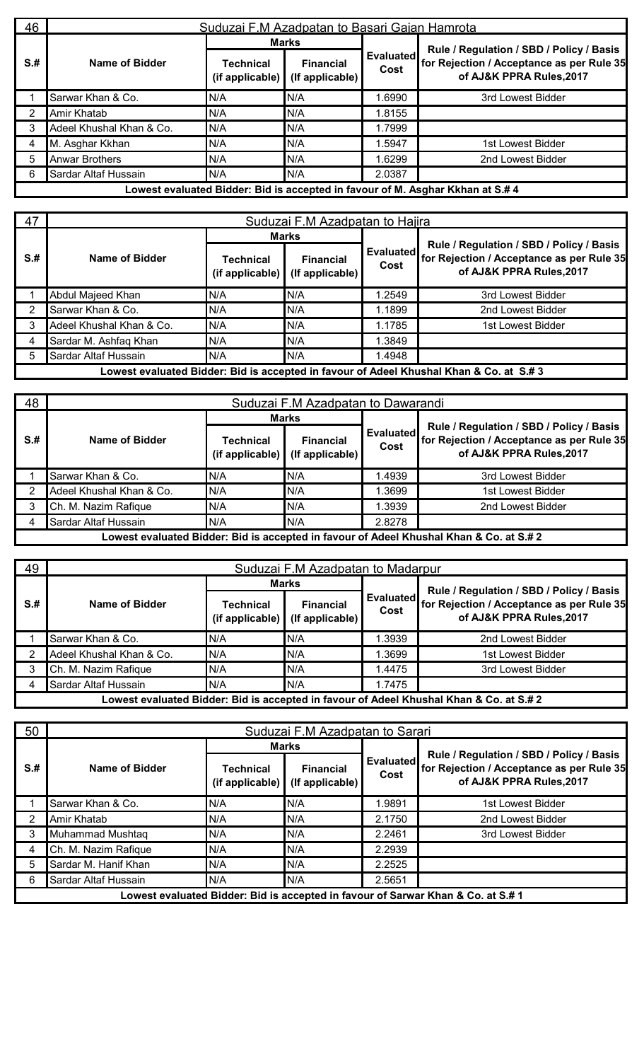| 46   | Suduzai F.M Azadpatan to Basari Gajan Hamrota |                              |                                     |                   |                                                                                                                   |  |  |  |  |
|------|-----------------------------------------------|------------------------------|-------------------------------------|-------------------|-------------------------------------------------------------------------------------------------------------------|--|--|--|--|
|      |                                               |                              | <b>Marks</b>                        | Evaluated<br>Cost | Rule / Regulation / SBD / Policy / Basis<br>for Rejection / Acceptance as per Rule 35<br>of AJ&K PPRA Rules, 2017 |  |  |  |  |
| $S+$ | Name of Bidder                                | Technical<br>(if applicable) | <b>Financial</b><br>(If applicable) |                   |                                                                                                                   |  |  |  |  |
|      | Sarwar Khan & Co.                             | N/A                          | N/A                                 | 1.6990            | 3rd Lowest Bidder                                                                                                 |  |  |  |  |
| -2   | Amir Khatab                                   | N/A                          | N/A                                 | .8155             |                                                                                                                   |  |  |  |  |
| 3    | Adeel Khushal Khan & Co.                      | N/A                          | N/A                                 | 1.7999            |                                                                                                                   |  |  |  |  |
| 4    | M. Asghar Kkhan                               | N/A                          | N/A                                 | 1.5947            | 1st Lowest Bidder                                                                                                 |  |  |  |  |
| 5    | <b>Anwar Brothers</b>                         | N/A                          | N/A                                 | 1.6299            | 2nd Lowest Bidder                                                                                                 |  |  |  |  |
| 6    | Sardar Altaf Hussain                          | N/A                          | N/A                                 | 2.0387            |                                                                                                                   |  |  |  |  |
|      |                                               |                              |                                     |                   | owest evaluated Bidder: Rid is accepted in favour of M, Aschar Kkhan at S # A                                     |  |  |  |  |

**Lowest evaluated Bidder: Bid is accepted in favour of M. Asghar Kkhan at S.# 4**

| 47   |                          | Suduzai F.M Azadpatan to Hajira             |                                     |                          |                                                                                                                   |  |  |  |  |  |
|------|--------------------------|---------------------------------------------|-------------------------------------|--------------------------|-------------------------------------------------------------------------------------------------------------------|--|--|--|--|--|
|      |                          |                                             | <b>Marks</b>                        |                          |                                                                                                                   |  |  |  |  |  |
| $S+$ | Name of Bidder           | <b>Technical</b><br>(if applicable) $\vert$ | <b>Financial</b><br>(If applicable) | <b>Evaluated</b><br>Cost | Rule / Regulation / SBD / Policy / Basis<br>for Rejection / Acceptance as per Rule 35<br>of AJ&K PPRA Rules, 2017 |  |  |  |  |  |
|      | Abdul Majeed Khan        | N/A                                         | N/A                                 | 1.2549                   | 3rd Lowest Bidder                                                                                                 |  |  |  |  |  |
|      | Sarwar Khan & Co.        | N/A                                         | N/A                                 | 1.1899                   | 2nd Lowest Bidder                                                                                                 |  |  |  |  |  |
|      | Adeel Khushal Khan & Co. | N/A                                         | N/A                                 | 1.1785                   | 1st Lowest Bidder                                                                                                 |  |  |  |  |  |
|      | Sardar M. Ashfaq Khan    | N/A                                         | N/A                                 | 1.3849                   |                                                                                                                   |  |  |  |  |  |
| 5    | Sardar Altaf Hussain     | N/A                                         | N/A                                 | 1.4948                   |                                                                                                                   |  |  |  |  |  |
|      |                          |                                             |                                     |                          | Lowest evaluated Bidder: Bid is accepted in favour of Adeel Khushal Khan & Co. at S.#3                            |  |  |  |  |  |

| 48                                                                                      | Suduzai F.M Azadpatan to Dawarandi |                                             |                                     |                   |                                                                                                                   |  |  |  |  |
|-----------------------------------------------------------------------------------------|------------------------------------|---------------------------------------------|-------------------------------------|-------------------|-------------------------------------------------------------------------------------------------------------------|--|--|--|--|
|                                                                                         |                                    | <b>Marks</b>                                |                                     |                   |                                                                                                                   |  |  |  |  |
| $S+$                                                                                    | Name of Bidder                     | <b>Technical</b><br>(if applicable) $\vert$ | <b>Financial</b><br>(If applicable) | Evaluated<br>Cost | Rule / Regulation / SBD / Policy / Basis<br>for Rejection / Acceptance as per Rule 35<br>of AJ&K PPRA Rules, 2017 |  |  |  |  |
|                                                                                         | Sarwar Khan & Co.                  | N/A                                         | N/A                                 | 1.4939            | 3rd Lowest Bidder                                                                                                 |  |  |  |  |
|                                                                                         | Adeel Khushal Khan & Co.           | N/A                                         | N/A                                 | 1.3699            | 1st Lowest Bidder                                                                                                 |  |  |  |  |
|                                                                                         | Ch. M. Nazim Rafique               | N/A                                         | N/A                                 | 1.3939            | 2nd Lowest Bidder                                                                                                 |  |  |  |  |
|                                                                                         | Sardar Altaf Hussain               | N/A                                         | N/A                                 | 2.8278            |                                                                                                                   |  |  |  |  |
| Lowest evaluated Bidder: Bid is accepted in favour of Adeel Khushal Khan & Co. at S.# 2 |                                    |                                             |                                     |                   |                                                                                                                   |  |  |  |  |

| 49   | Suduzai F.M Azadpatan to Madarpur |                                 |                                           |                   |                                                                                         |  |  |  |
|------|-----------------------------------|---------------------------------|-------------------------------------------|-------------------|-----------------------------------------------------------------------------------------|--|--|--|
|      |                                   | <b>Marks</b>                    |                                           |                   | Rule / Regulation / SBD / Policy / Basis                                                |  |  |  |
| $S+$ | Name of Bidder                    | Technical<br>$(i$ f applicable) | <b>Financial</b><br>$($ If applicable $)$ | Evaluated<br>Cost | for Rejection / Acceptance as per Rule 35<br>of AJ&K PPRA Rules, 2017                   |  |  |  |
|      | Sarwar Khan & Co.                 | N/A                             | IN/A                                      | .3939             | 2nd Lowest Bidder                                                                       |  |  |  |
|      | Adeel Khushal Khan & Co.          | N/A                             | N/A                                       | .3699             | 1st Lowest Bidder                                                                       |  |  |  |
|      | Ch. M. Nazim Rafique              | N/A                             | N/A                                       | 1.4475            | 3rd Lowest Bidder                                                                       |  |  |  |
|      | Sardar Altaf Hussain              | N/A                             | N/A                                       | 1.7475            |                                                                                         |  |  |  |
|      |                                   |                                 |                                           |                   | Lowest evaluated Bidder: Bid is accepted in favour of Adeel Khushal Khan & Co. at S.# 2 |  |  |  |

| 50   |                      | Suduzai F.M Azadpatan to Sarari                 |                                     |                          |                                                                                                                  |  |  |  |  |
|------|----------------------|-------------------------------------------------|-------------------------------------|--------------------------|------------------------------------------------------------------------------------------------------------------|--|--|--|--|
|      |                      | <b>Marks</b>                                    |                                     |                          |                                                                                                                  |  |  |  |  |
| $S+$ | Name of Bidder       | <b>Technical</b><br>(if applicable) $\parallel$ | <b>Financial</b><br>(If applicable) | <b>Evaluated</b><br>Cost | Rule / Regulation / SBD / Policy / Basis<br>for Rejection / Acceptance as per Rule 35<br>of AJ&K PPRA Rules,2017 |  |  |  |  |
|      | Sarwar Khan & Co.    | N/A                                             | N/A                                 | 9891.⊍                   | 1st Lowest Bidder                                                                                                |  |  |  |  |
|      | Amir Khatab          | N/A                                             | N/A                                 | 2.1750                   | 2nd Lowest Bidder                                                                                                |  |  |  |  |
|      | Muhammad Mushtaq     | N/A                                             | N/A                                 | 2.2461                   | 3rd Lowest Bidder                                                                                                |  |  |  |  |
|      | Ch. M. Nazim Rafique | N/A                                             | N/A                                 | 2.2939                   |                                                                                                                  |  |  |  |  |
|      | Sardar M. Hanif Khan | N/A                                             | N/A                                 | 2.2525                   |                                                                                                                  |  |  |  |  |
| 6    | Sardar Altaf Hussain | N/A                                             | N/A                                 | 2.5651                   |                                                                                                                  |  |  |  |  |
|      |                      |                                                 |                                     |                          | Lowest evaluated Bidder: Bid is accepted in favour of Sarwar Khan & Co. at S.# 1                                 |  |  |  |  |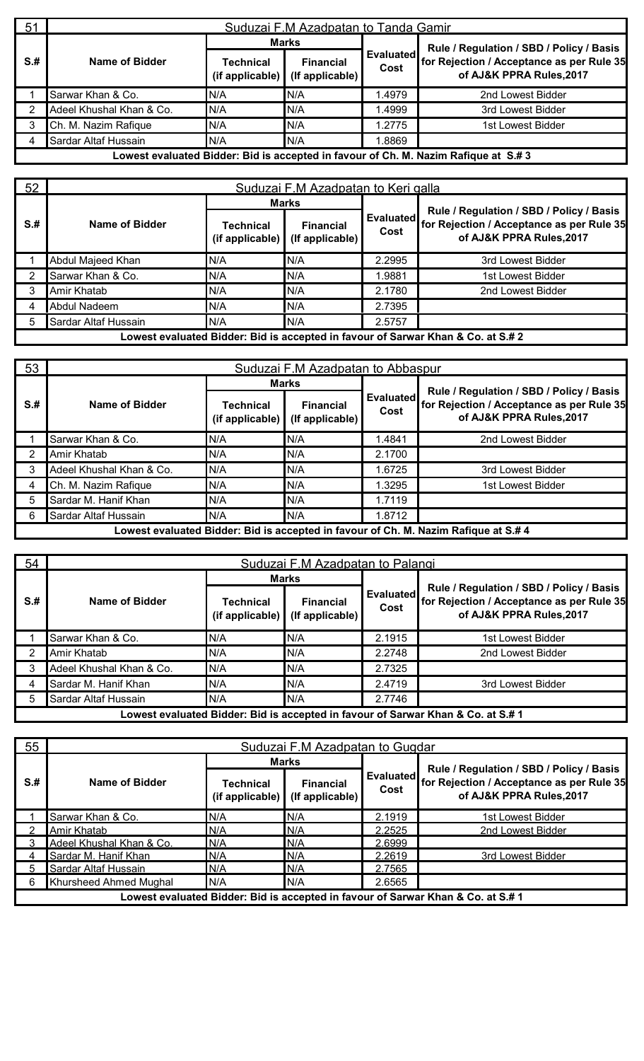| 51   | Suduzai F.M Azadpatan to Tanda Gamir |                                          |                                     |                          |                                                                                    |  |  |  |
|------|--------------------------------------|------------------------------------------|-------------------------------------|--------------------------|------------------------------------------------------------------------------------|--|--|--|
|      |                                      | <b>Marks</b>                             |                                     |                          | Rule / Regulation / SBD / Policy / Basis                                           |  |  |  |
| $S+$ | Name of Bidder                       | Technical<br>(if applicable) $\parallel$ | <b>Financial</b><br>(If applicable) | <b>Evaluated</b><br>Cost | for Rejection / Acceptance as per Rule 35<br>of AJ&K PPRA Rules, 2017              |  |  |  |
|      | Sarwar Khan & Co.                    | N/A                                      | N/A                                 | 1.4979                   | 2nd Lowest Bidder                                                                  |  |  |  |
|      | Adeel Khushal Khan & Co.             | N/A                                      | N/A                                 | 1.4999                   | 3rd Lowest Bidder                                                                  |  |  |  |
|      | Ch. M. Nazim Rafique                 | N/A                                      | N/A                                 | 1.2775                   | 1st Lowest Bidder                                                                  |  |  |  |
| 4    | Sardar Altaf Hussain                 | N/A                                      | N/A                                 | 8869.                    |                                                                                    |  |  |  |
|      |                                      |                                          |                                     |                          | Lowest evaluated Bidder: Bid is accepted in favour of Ch. M. Nazim Rafique at S.#3 |  |  |  |

| 52   | Suduzai F.M Azadpatan to Keri galla |                              |                                     |                   |                                                                                                                   |  |  |  |  |
|------|-------------------------------------|------------------------------|-------------------------------------|-------------------|-------------------------------------------------------------------------------------------------------------------|--|--|--|--|
|      |                                     | <b>Marks</b>                 |                                     |                   |                                                                                                                   |  |  |  |  |
| $S+$ | Name of Bidder                      | Technical<br>(if applicable) | <b>Financial</b><br>(If applicable) | Evaluated<br>Cost | Rule / Regulation / SBD / Policy / Basis<br>for Rejection / Acceptance as per Rule 35<br>of AJ&K PPRA Rules, 2017 |  |  |  |  |
|      | Abdul Majeed Khan                   | N/A                          | N/A                                 | 2.2995            | 3rd Lowest Bidder                                                                                                 |  |  |  |  |
|      | Sarwar Khan & Co.                   | N/A                          | N/A                                 | 1.9881            | 1st Lowest Bidder                                                                                                 |  |  |  |  |
| 3    | Amir Khatab                         | N/A                          | N/A                                 | 2.1780            | 2nd Lowest Bidder                                                                                                 |  |  |  |  |
| 4    | Abdul Nadeem                        | N/A                          | N/A                                 | 2.7395            |                                                                                                                   |  |  |  |  |
| 5    | Sardar Altaf Hussain                | N/A                          | N/A                                 | 2.5757            |                                                                                                                   |  |  |  |  |
|      |                                     |                              |                                     |                   | Lowest evaluated Bidder: Bid is accepted in favour of Sarwar Khan & Co. at S.# 2                                  |  |  |  |  |

| 53   | Suduzai F.M Azadpatan to Abbaspur |                                             |                                     |                   |                                                                                     |  |  |  |  |
|------|-----------------------------------|---------------------------------------------|-------------------------------------|-------------------|-------------------------------------------------------------------------------------|--|--|--|--|
|      |                                   |                                             | <b>Marks</b>                        |                   | Rule / Regulation / SBD / Policy / Basis                                            |  |  |  |  |
| $S+$ | Name of Bidder                    | <b>Technical</b><br>(if applicable) $\vert$ | <b>Financial</b><br>(If applicable) | Evaluated<br>Cost | for Rejection / Acceptance as per Rule 35<br>of AJ&K PPRA Rules, 2017               |  |  |  |  |
|      | Sarwar Khan & Co.                 | N/A                                         | N/A                                 | 1.4841            | 2nd Lowest Bidder                                                                   |  |  |  |  |
|      | Amir Khatab                       | N/A                                         | N/A                                 | 2.1700            |                                                                                     |  |  |  |  |
|      | Adeel Khushal Khan & Co.          | N/A                                         | N/A                                 | 1.6725            | 3rd Lowest Bidder                                                                   |  |  |  |  |
|      | Ch. M. Nazim Rafique              | N/A                                         | N/A                                 | 1.3295            | 1st Lowest Bidder                                                                   |  |  |  |  |
| 5    | Sardar M. Hanif Khan              | N/A                                         | N/A                                 | 1.7119            |                                                                                     |  |  |  |  |
| 6    | Sardar Altaf Hussain              | N/A                                         | N/A                                 | 1.8712            |                                                                                     |  |  |  |  |
|      |                                   |                                             |                                     |                   | Lowest evaluated Bidder: Bid is accepted in favour of Ch. M. Nazim Rafique at S.# 4 |  |  |  |  |

| 54   | Suduzai F.M Azadpatan to Palangi |                                             |                                     |                   |                                                                                                                   |  |  |  |
|------|----------------------------------|---------------------------------------------|-------------------------------------|-------------------|-------------------------------------------------------------------------------------------------------------------|--|--|--|
|      |                                  |                                             | <b>Marks</b>                        |                   |                                                                                                                   |  |  |  |
| $S+$ | Name of Bidder                   | Technical<br>(if applicable) $\blacksquare$ | <b>Financial</b><br>(If applicable) | Evaluated<br>Cost | Rule / Regulation / SBD / Policy / Basis<br>for Rejection / Acceptance as per Rule 35<br>of AJ&K PPRA Rules, 2017 |  |  |  |
|      | Sarwar Khan & Co.                | N/A                                         | N/A                                 | 2.1915            | 1st Lowest Bidder                                                                                                 |  |  |  |
|      | Amir Khatab                      | N/A                                         | N/A                                 | 2.2748            | 2nd Lowest Bidder                                                                                                 |  |  |  |
|      | Adeel Khushal Khan & Co.         | N/A                                         | N/A                                 | 2.7325            |                                                                                                                   |  |  |  |
|      | Sardar M. Hanif Khan             | N/A                                         | N/A                                 | 2.4719            | 3rd Lowest Bidder                                                                                                 |  |  |  |
| 5    | Sardar Altaf Hussain             | N/A                                         | N/A                                 | 2.7746            |                                                                                                                   |  |  |  |
|      |                                  |                                             |                                     |                   | Lowest evaluated Bidder: Bid is accepted in favour of Sarwar Khan & Co. at S.# 1                                  |  |  |  |

| 55   | Suduzai F.M Azadpatan to Gugdar |                                 |                                     |                   |                                                                                  |  |  |  |
|------|---------------------------------|---------------------------------|-------------------------------------|-------------------|----------------------------------------------------------------------------------|--|--|--|
|      |                                 |                                 | <b>Marks</b>                        |                   | Rule / Regulation / SBD / Policy / Basis                                         |  |  |  |
| $S+$ | Name of Bidder                  | Technical<br>$(i$ f applicable) | <b>Financial</b><br>(If applicable) | Evaluated<br>Cost | for Rejection / Acceptance as per Rule 35<br>of AJ&K PPRA Rules, 2017            |  |  |  |
|      | Sarwar Khan & Co.               | N/A                             | N/A                                 | 2.1919            | 1st Lowest Bidder                                                                |  |  |  |
|      | Amir Khatab                     | N/A                             | N/A                                 | 2.2525            | 2nd Lowest Bidder                                                                |  |  |  |
|      | Adeel Khushal Khan & Co.        | N/A                             | IN/A                                | 2.6999            |                                                                                  |  |  |  |
|      | Sardar M. Hanif Khan            | N/A                             | N/A                                 | 2.2619            | 3rd Lowest Bidder                                                                |  |  |  |
|      | Sardar Altaf Hussain            | N/A                             | N/A                                 | 2.7565            |                                                                                  |  |  |  |
|      | Khursheed Ahmed Mughal          | N/A                             | N/A                                 | 2.6565            |                                                                                  |  |  |  |
|      |                                 |                                 |                                     |                   | Lowest evaluated Bidder: Bid is accepted in favour of Sarwar Khan & Co. at S.# 1 |  |  |  |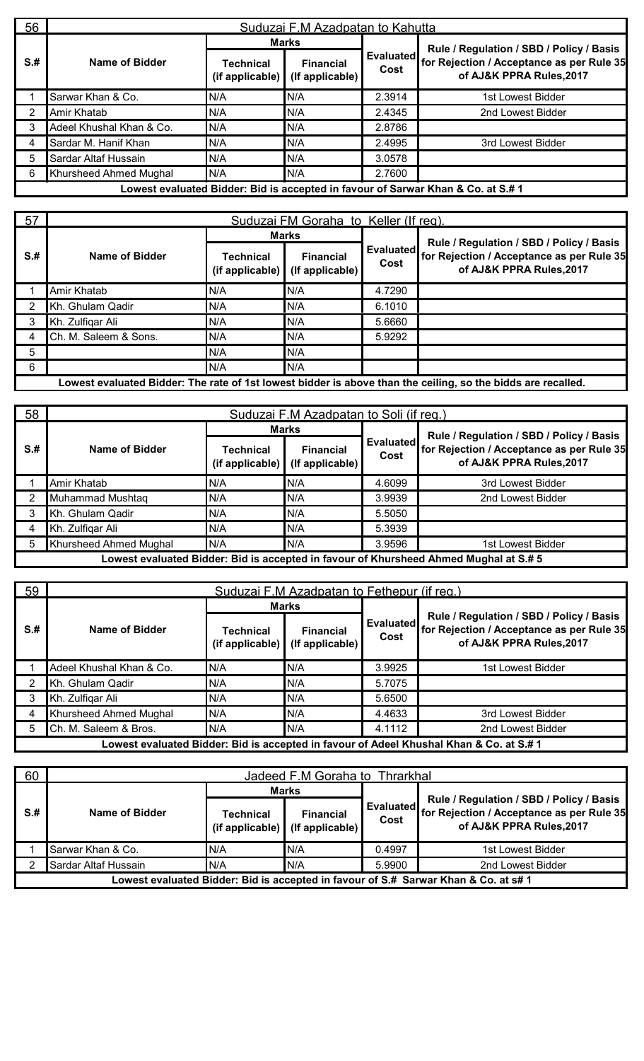| 56   |                          | Suduzai F.M Azadpatan to Kahutta |                                     |                          |                                                                                  |  |  |  |  |  |
|------|--------------------------|----------------------------------|-------------------------------------|--------------------------|----------------------------------------------------------------------------------|--|--|--|--|--|
|      |                          |                                  | <b>Marks</b>                        |                          | Rule / Regulation / SBD / Policy / Basis                                         |  |  |  |  |  |
| $S+$ | Name of Bidder           | Technical<br>(if applicable)     | <b>Financial</b><br>(If applicable) | <b>Evaluated</b><br>Cost | for Rejection / Acceptance as per Rule 35<br>of AJ&K PPRA Rules, 2017            |  |  |  |  |  |
|      | Sarwar Khan & Co.        | N/A                              | N/A                                 | 2.3914                   | 1st Lowest Bidder                                                                |  |  |  |  |  |
| 2    | Amir Khatab              | N/A                              | N/A                                 | 2.4345                   | 2nd Lowest Bidder                                                                |  |  |  |  |  |
| 3    | Adeel Khushal Khan & Co. | N/A                              | N/A                                 | 2.8786                   |                                                                                  |  |  |  |  |  |
| 4    | Sardar M. Hanif Khan     | N/A                              | N/A                                 | 2.4995                   | 3rd Lowest Bidder                                                                |  |  |  |  |  |
| 5    | Sardar Altaf Hussain     | N/A                              | N/A                                 | 3.0578                   |                                                                                  |  |  |  |  |  |
| 6    | Khursheed Ahmed Mughal   | N/A                              | N/A                                 | 2.7600                   |                                                                                  |  |  |  |  |  |
|      |                          |                                  |                                     |                          | Lowest evaluated Bidder: Bid is accepted in favour of Sarwar Khan & Co. at S.# 1 |  |  |  |  |  |

| 57   | Suduzai FM Goraha to Keller (If reg). |                                        |                                     |                          |                                                                                                                   |  |  |  |
|------|---------------------------------------|----------------------------------------|-------------------------------------|--------------------------|-------------------------------------------------------------------------------------------------------------------|--|--|--|
|      |                                       |                                        | <b>Marks</b>                        |                          |                                                                                                                   |  |  |  |
| $S+$ | Name of Bidder                        | <b>Technical</b><br>$(i$ f applicable) | <b>Financial</b><br>(If applicable) | <b>Evaluated</b><br>Cost | Rule / Regulation / SBD / Policy / Basis<br>for Rejection / Acceptance as per Rule 35<br>of AJ&K PPRA Rules, 2017 |  |  |  |
|      | Amir Khatab                           | N/A                                    | N/A                                 | 4.7290                   |                                                                                                                   |  |  |  |
|      | Kh. Ghulam Qadir                      | N/A                                    | N/A                                 | 6.1010                   |                                                                                                                   |  |  |  |
|      | Kh. Zulfigar Ali                      | N/A                                    | N/A                                 | 5.6660                   |                                                                                                                   |  |  |  |
|      | Ch. M. Saleem & Sons.                 | N/A                                    | N/A                                 | 5.9292                   |                                                                                                                   |  |  |  |
| 5    |                                       | N/A                                    | N/A                                 |                          |                                                                                                                   |  |  |  |
| -6   |                                       | N/A                                    | N/A                                 |                          |                                                                                                                   |  |  |  |
|      |                                       |                                        |                                     |                          | Lowest evaluated Bidder: The rate of 1st lowest bidder is above than the ceiling, so the bidds are recalled.      |  |  |  |

| 58   | Suduzai F.M Azadpatan to Soli (if req.) |                                        |                                     |                   |                                                                                       |  |  |
|------|-----------------------------------------|----------------------------------------|-------------------------------------|-------------------|---------------------------------------------------------------------------------------|--|--|
|      |                                         |                                        | <b>Marks</b>                        |                   | Rule / Regulation / SBD / Policy / Basis                                              |  |  |
| $S+$ | Name of Bidder                          | <b>Technical</b><br>$(i$ f applicable) | <b>Financial</b><br>(If applicable) | Evaluated<br>Cost | for Rejection / Acceptance as per Rule 35<br>of AJ&K PPRA Rules, 2017                 |  |  |
|      | Amir Khatab                             | N/A                                    | N/A                                 | 4.6099            | 3rd Lowest Bidder                                                                     |  |  |
|      | Muhammad Mushtaq                        | N/A                                    | N/A                                 | 3.9939            | 2nd Lowest Bidder                                                                     |  |  |
|      | Kh. Ghulam Qadir                        | N/A                                    | N/A                                 | 5.5050            |                                                                                       |  |  |
|      | Kh. Zulfigar Ali                        | N/A                                    | N/A                                 | 5.3939            |                                                                                       |  |  |
|      | Khursheed Ahmed Mughal                  | N/A                                    | N/A                                 | 3.9596            | 1st Lowest Bidder                                                                     |  |  |
|      |                                         |                                        |                                     |                   | Lowest evaluated Bidder: Bid is accepted in favour of Khursheed Ahmed Mughal at S.# 5 |  |  |

| 59   | Suduzai F.M Azadpatan to Fethepur (if reg.) |                                        |                                     |                   |                                                                                                                   |  |  |  |  |
|------|---------------------------------------------|----------------------------------------|-------------------------------------|-------------------|-------------------------------------------------------------------------------------------------------------------|--|--|--|--|
|      |                                             |                                        | <b>Marks</b>                        |                   |                                                                                                                   |  |  |  |  |
| $S+$ | Name of Bidder                              | <b>Technical</b><br>$(i$ f applicable) | <b>Financial</b><br>(If applicable) | Evaluated<br>Cost | Rule / Regulation / SBD / Policy / Basis<br>for Rejection / Acceptance as per Rule 35<br>of AJ&K PPRA Rules, 2017 |  |  |  |  |
|      | Adeel Khushal Khan & Co.                    | N/A                                    | N/A                                 | 3.9925            | 1st Lowest Bidder                                                                                                 |  |  |  |  |
|      | Kh. Ghulam Qadir                            | N/A                                    | N/A                                 | 5.7075            |                                                                                                                   |  |  |  |  |
|      | Kh. Zulfigar Ali                            | N/A                                    | N/A                                 | 5.6500            |                                                                                                                   |  |  |  |  |
|      | Khursheed Ahmed Mughal                      | N/A                                    | N/A                                 | 4.4633            | 3rd Lowest Bidder                                                                                                 |  |  |  |  |
|      | Ch. M. Saleem & Bros.                       | N/A                                    | N/A                                 | 4.1112            | 2nd Lowest Bidder                                                                                                 |  |  |  |  |
|      |                                             |                                        |                                     |                   | Lowest evaluated Bidder: Bid is accepted in favour of Adeel Khushal Khan & Co. at S.# 1                           |  |  |  |  |

| 60   | Jadeed F.M Goraha to Thrarkhal |                                     |                                     |                          |                                                                                                                   |  |  |
|------|--------------------------------|-------------------------------------|-------------------------------------|--------------------------|-------------------------------------------------------------------------------------------------------------------|--|--|
|      |                                | <b>Marks</b>                        |                                     |                          |                                                                                                                   |  |  |
| $S+$ | Name of Bidder                 | <b>Technical</b><br>(if applicable) | <b>Financial</b><br>(If applicable) | <b>Evaluated</b><br>Cost | Rule / Regulation / SBD / Policy / Basis<br>for Rejection / Acceptance as per Rule 35<br>of AJ&K PPRA Rules, 2017 |  |  |
|      | Sarwar Khan & Co.              | N/A                                 | N/A                                 | 0.4997                   | 1st Lowest Bidder                                                                                                 |  |  |
|      | Sardar Altaf Hussain           | N/A                                 | N/A                                 | 5.9900                   | 2nd Lowest Bidder                                                                                                 |  |  |
|      |                                |                                     |                                     |                          | Lowest evaluated Bidder: Bid is accepted in favour of S.#  Sarwar Khan & Co. at s# 1                              |  |  |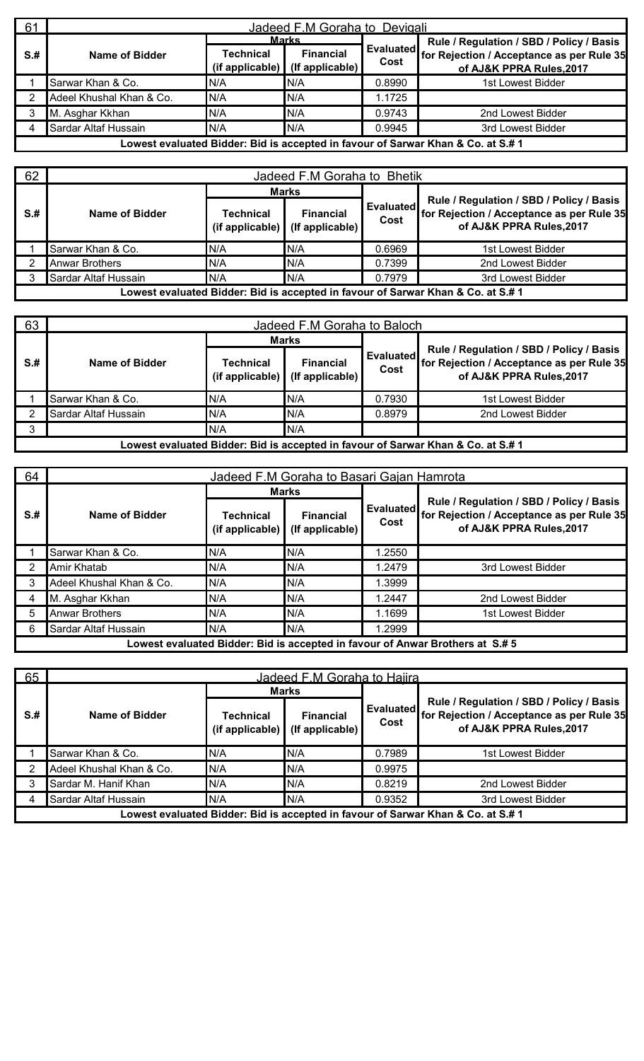| 61   | Jadeed F.M Goraha to Devigali |                                      |                                                     |                          |                                                                                                                   |  |  |  |  |
|------|-------------------------------|--------------------------------------|-----------------------------------------------------|--------------------------|-------------------------------------------------------------------------------------------------------------------|--|--|--|--|
| $S+$ | Name of Bidder                | Technical<br>(if applicable) $\vert$ | <b>Marks</b><br><b>Financial</b><br>(If applicable) | <b>Evaluated</b><br>Cost | Rule / Regulation / SBD / Policy / Basis<br>for Rejection / Acceptance as per Rule 35<br>of AJ&K PPRA Rules, 2017 |  |  |  |  |
|      | Sarwar Khan & Co.             | N/A                                  | N/A                                                 | 0.8990                   | 1st Lowest Bidder                                                                                                 |  |  |  |  |
|      | Adeel Khushal Khan & Co.      | N/A                                  | N/A                                                 | 1.1725                   |                                                                                                                   |  |  |  |  |
|      | M. Asghar Kkhan               | N/A                                  | N/A                                                 | 0.9743                   | 2nd Lowest Bidder                                                                                                 |  |  |  |  |
|      | Sardar Altaf Hussain          | N/A                                  | N/A                                                 | 0.9945                   | 3rd Lowest Bidder                                                                                                 |  |  |  |  |
|      |                               |                                      |                                                     |                          | Lowest evaluated Bidder: Bid is accepted in favour of Sarwar Khan & Co. at S.# 1                                  |  |  |  |  |

| 62   | Jadeed F.M Goraha to Bhetik |                                 |                                     |                   |                                                                                                                   |  |  |  |
|------|-----------------------------|---------------------------------|-------------------------------------|-------------------|-------------------------------------------------------------------------------------------------------------------|--|--|--|
|      |                             | <b>Marks</b>                    |                                     |                   |                                                                                                                   |  |  |  |
| $S+$ | Name of Bidder              | Technical<br>$(i$ f applicable) | <b>Financial</b><br>(If applicable) | Evaluated<br>Cost | Rule / Regulation / SBD / Policy / Basis<br>for Rejection / Acceptance as per Rule 35<br>of AJ&K PPRA Rules, 2017 |  |  |  |
|      | Sarwar Khan & Co.           | IN/A                            | N/A                                 | 0.6969            | 1st Lowest Bidder                                                                                                 |  |  |  |
|      | <b>Anwar Brothers</b>       | N/A                             | N/A                                 | 0.7399            | 2nd Lowest Bidder                                                                                                 |  |  |  |
|      | Sardar Altaf Hussain        | N/A                             | N/A                                 | 0.7979            | 3rd Lowest Bidder                                                                                                 |  |  |  |
|      |                             |                                 |                                     |                   | Lowest evaluated Bidder: Bid is accepted in favour of Sarwar Khan & Co. at S.# 1                                  |  |  |  |

| 63   | Jadeed F.M Goraha to Baloch |                                             |                                     |                   |                                                                                                                   |  |  |  |
|------|-----------------------------|---------------------------------------------|-------------------------------------|-------------------|-------------------------------------------------------------------------------------------------------------------|--|--|--|
|      |                             |                                             | <b>Marks</b>                        |                   |                                                                                                                   |  |  |  |
| $S+$ | Name of Bidder              | Technical<br>(if applicable) $\blacksquare$ | <b>Financial</b><br>(If applicable) | Evaluated<br>Cost | Rule / Regulation / SBD / Policy / Basis<br>for Rejection / Acceptance as per Rule 35<br>of AJ&K PPRA Rules, 2017 |  |  |  |
|      | Sarwar Khan & Co.           | N/A                                         | N/A                                 | 0.7930            | 1st Lowest Bidder                                                                                                 |  |  |  |
|      | Sardar Altaf Hussain        | N/A                                         | N/A                                 | 0.8979            | 2nd Lowest Bidder                                                                                                 |  |  |  |
|      |                             | N/A                                         | N/A                                 |                   |                                                                                                                   |  |  |  |
|      |                             |                                             |                                     |                   | Lowest evaluated Bidder: Bid is accepted in favour of Sarwar Khan & Co. at S.# 1                                  |  |  |  |

| 64   |                          | Jadeed F.M Goraha to Basari Gajan Hamrota |                                     |                          |                                                                                                                   |  |  |  |  |  |
|------|--------------------------|-------------------------------------------|-------------------------------------|--------------------------|-------------------------------------------------------------------------------------------------------------------|--|--|--|--|--|
|      |                          |                                           | Marks                               |                          |                                                                                                                   |  |  |  |  |  |
| $S+$ | Name of Bidder           | Technical<br>(if applicable)              | <b>Financial</b><br>(If applicable) | <b>Evaluated</b><br>Cost | Rule / Regulation / SBD / Policy / Basis<br>for Rejection / Acceptance as per Rule 35<br>of AJ&K PPRA Rules, 2017 |  |  |  |  |  |
|      | Sarwar Khan & Co.        | N/A                                       | N/A                                 | 1.2550                   |                                                                                                                   |  |  |  |  |  |
|      | Amir Khatab              | N/A                                       | N/A                                 | 1.2479                   | 3rd Lowest Bidder                                                                                                 |  |  |  |  |  |
|      | Adeel Khushal Khan & Co. | N/A                                       | N/A                                 | 1.3999                   |                                                                                                                   |  |  |  |  |  |
|      | M. Asghar Kkhan          | N/A                                       | N/A                                 | 1.2447                   | 2nd Lowest Bidder                                                                                                 |  |  |  |  |  |
|      | <b>Anwar Brothers</b>    | N/A                                       | N/A                                 | 1.1699                   | 1st Lowest Bidder                                                                                                 |  |  |  |  |  |
|      | Sardar Altaf Hussain     | N/A                                       | N/A                                 | 1.2999                   |                                                                                                                   |  |  |  |  |  |
|      |                          |                                           |                                     |                          | Lowest evaluated Bidder: Bid is accepted in favour of Anwar Brothers at S.# 5                                     |  |  |  |  |  |

| 65   | Jadeed F.M Goraha to Haiira |                                             |                                     |                   |                                                                                                                   |  |  |  |  |  |
|------|-----------------------------|---------------------------------------------|-------------------------------------|-------------------|-------------------------------------------------------------------------------------------------------------------|--|--|--|--|--|
|      |                             | <b>Marks</b>                                |                                     |                   |                                                                                                                   |  |  |  |  |  |
| $S+$ | Name of Bidder              | <b>Technical</b><br>(if applicable) $\vert$ | <b>Financial</b><br>(If applicable) | Evaluated<br>Cost | Rule / Regulation / SBD / Policy / Basis<br>for Rejection / Acceptance as per Rule 35<br>of AJ&K PPRA Rules, 2017 |  |  |  |  |  |
|      | Sarwar Khan & Co.           | N/A                                         | N/A                                 | 0.7989            | 1st Lowest Bidder                                                                                                 |  |  |  |  |  |
|      | Adeel Khushal Khan & Co.    | N/A                                         | N/A                                 | 0.9975            |                                                                                                                   |  |  |  |  |  |
|      | Sardar M. Hanif Khan        | N/A                                         | N/A                                 | 0.8219            | 2nd Lowest Bidder                                                                                                 |  |  |  |  |  |
|      | Sardar Altaf Hussain        | N/A                                         | N/A                                 | 0.9352            | 3rd Lowest Bidder                                                                                                 |  |  |  |  |  |
|      |                             |                                             |                                     |                   | Lowest evaluated Bidder: Bid is accepted in favour of Sarwar Khan & Co. at S.#1                                   |  |  |  |  |  |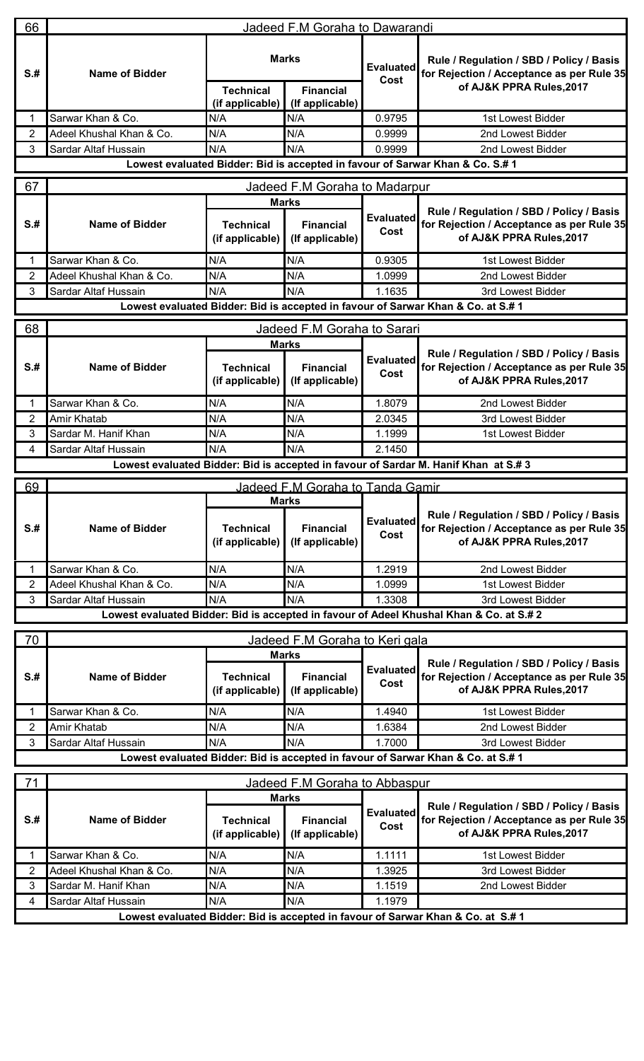| 66                                                                                 |                                        |                                     | Jadeed F.M Goraha to Dawarandi                      |                          |                                                                                                                   |  |  |  |  |
|------------------------------------------------------------------------------------|----------------------------------------|-------------------------------------|-----------------------------------------------------|--------------------------|-------------------------------------------------------------------------------------------------------------------|--|--|--|--|
| S <sub>.#</sub>                                                                    | <b>Name of Bidder</b>                  |                                     | <b>Marks</b>                                        | <b>Evaluated</b><br>Cost | Rule / Regulation / SBD / Policy / Basis<br>for Rejection / Acceptance as per Rule 35                             |  |  |  |  |
|                                                                                    |                                        | <b>Technical</b>                    | <b>Financial</b>                                    |                          | of AJ&K PPRA Rules, 2017                                                                                          |  |  |  |  |
|                                                                                    | Sarwar Khan & Co.                      | (if applicable)<br>N/A              | (If applicable)<br>N/A                              | 0.9795                   | 1st Lowest Bidder                                                                                                 |  |  |  |  |
| 2                                                                                  | Adeel Khushal Khan & Co.               | N/A                                 | N/A                                                 | 0.9999                   | 2nd Lowest Bidder                                                                                                 |  |  |  |  |
| 3                                                                                  | Sardar Altaf Hussain                   | N/A                                 | N/A                                                 | 0.9999                   | 2nd Lowest Bidder                                                                                                 |  |  |  |  |
|                                                                                    |                                        |                                     |                                                     |                          | Lowest evaluated Bidder: Bid is accepted in favour of Sarwar Khan & Co. S.# 1                                     |  |  |  |  |
|                                                                                    |                                        |                                     |                                                     |                          |                                                                                                                   |  |  |  |  |
| 67                                                                                 |                                        |                                     | Jadeed F.M Goraha to Madarpur                       |                          |                                                                                                                   |  |  |  |  |
| S <sub>.#</sub>                                                                    | <b>Name of Bidder</b>                  | <b>Technical</b><br>(if applicable) | <b>Marks</b><br><b>Financial</b><br>(If applicable) | <b>Evaluated</b><br>Cost | Rule / Regulation / SBD / Policy / Basis<br>for Rejection / Acceptance as per Rule 35<br>of AJ&K PPRA Rules, 2017 |  |  |  |  |
|                                                                                    | Sarwar Khan & Co.                      | N/A                                 | N/A                                                 | 0.9305                   | 1st Lowest Bidder                                                                                                 |  |  |  |  |
| $\overline{2}$                                                                     | Adeel Khushal Khan & Co.               | N/A                                 | N/A                                                 | 1.0999                   | 2nd Lowest Bidder                                                                                                 |  |  |  |  |
| 3                                                                                  | Sardar Altaf Hussain                   | N/A                                 | N/A                                                 | 1.1635                   | 3rd Lowest Bidder                                                                                                 |  |  |  |  |
|                                                                                    |                                        |                                     |                                                     |                          | Lowest evaluated Bidder: Bid is accepted in favour of Sarwar Khan & Co. at S.# 1                                  |  |  |  |  |
| 68                                                                                 |                                        |                                     | Jadeed F.M Goraha to Sarari                         |                          |                                                                                                                   |  |  |  |  |
|                                                                                    |                                        |                                     | <b>Marks</b>                                        |                          |                                                                                                                   |  |  |  |  |
| $S+$                                                                               | <b>Name of Bidder</b>                  | <b>Technical</b><br>(if applicable) | <b>Financial</b><br>(If applicable)                 | <b>Evaluated</b><br>Cost | Rule / Regulation / SBD / Policy / Basis<br>for Rejection / Acceptance as per Rule 35<br>of AJ&K PPRA Rules, 2017 |  |  |  |  |
|                                                                                    | Sarwar Khan & Co.                      | N/A                                 | N/A                                                 | 1.8079                   | 2nd Lowest Bidder                                                                                                 |  |  |  |  |
| $\overline{2}$                                                                     | Amir Khatab                            | N/A                                 | N/A                                                 | 2.0345                   | 3rd Lowest Bidder                                                                                                 |  |  |  |  |
| 3                                                                                  | Sardar M. Hanif Khan                   | N/A                                 | N/A                                                 | 1.1999                   | 1st Lowest Bidder                                                                                                 |  |  |  |  |
| 4                                                                                  | Sardar Altaf Hussain                   | N/A                                 | N/A                                                 | 2.1450                   |                                                                                                                   |  |  |  |  |
| Lowest evaluated Bidder: Bid is accepted in favour of Sardar M. Hanif Khan at S.#3 |                                        |                                     |                                                     |                          |                                                                                                                   |  |  |  |  |
|                                                                                    | 69<br>Jadeed F.M Goraha to Tanda Gamir |                                     |                                                     |                          |                                                                                                                   |  |  |  |  |
|                                                                                    |                                        |                                     | <b>Marks</b>                                        |                          |                                                                                                                   |  |  |  |  |
| S <sub>.#</sub>                                                                    | <b>Name of Bidder</b>                  | <b>Technical</b><br>(if applicable) | <b>Financial</b><br>(If applicable)                 | <b>Evaluated</b><br>Cost | Rule / Regulation / SBD / Policy / Basis<br>for Rejection / Acceptance as per Rule 35<br>of AJ&K PPRA Rules, 2017 |  |  |  |  |
|                                                                                    | Sarwar Khan & Co.                      | N/A                                 | N/A                                                 | 1.2919                   | 2nd Lowest Bidder                                                                                                 |  |  |  |  |
| $\overline{2}$                                                                     | Adeel Khushal Khan & Co.               | N/A                                 | N/A                                                 | 1.0999                   | 1st Lowest Bidder                                                                                                 |  |  |  |  |
| 3                                                                                  | Sardar Altaf Hussain                   | N/A                                 | N/A                                                 | 1.3308                   | 3rd Lowest Bidder                                                                                                 |  |  |  |  |
|                                                                                    |                                        |                                     |                                                     |                          | Lowest evaluated Bidder: Bid is accepted in favour of Adeel Khushal Khan & Co. at S.# 2                           |  |  |  |  |
|                                                                                    |                                        |                                     |                                                     |                          |                                                                                                                   |  |  |  |  |
| 70                                                                                 |                                        |                                     | Jadeed F.M Goraha to Keri gala                      |                          |                                                                                                                   |  |  |  |  |
| S <sub>.#</sub>                                                                    | <b>Name of Bidder</b>                  | <b>Technical</b><br>(if applicable) | <b>Marks</b><br><b>Financial</b><br>(If applicable) | <b>Evaluated</b><br>Cost | Rule / Regulation / SBD / Policy / Basis<br>for Rejection / Acceptance as per Rule 35<br>of AJ&K PPRA Rules, 2017 |  |  |  |  |
|                                                                                    | Sarwar Khan & Co.                      | N/A                                 | N/A                                                 | 1.4940                   | 1st Lowest Bidder                                                                                                 |  |  |  |  |
| 2                                                                                  | Amir Khatab                            | N/A                                 | N/A                                                 | 1.6384                   | 2nd Lowest Bidder                                                                                                 |  |  |  |  |
| 3                                                                                  | Sardar Altaf Hussain                   | N/A                                 | N/A                                                 | 1.7000                   | 3rd Lowest Bidder                                                                                                 |  |  |  |  |
|                                                                                    |                                        |                                     |                                                     |                          | Lowest evaluated Bidder: Bid is accepted in favour of Sarwar Khan & Co. at S.#1                                   |  |  |  |  |
|                                                                                    |                                        |                                     |                                                     |                          |                                                                                                                   |  |  |  |  |
| 71                                                                                 |                                        |                                     | Jadeed F.M Goraha to Abbaspur                       |                          |                                                                                                                   |  |  |  |  |
| $S+$                                                                               | <b>Name of Bidder</b>                  | <b>Technical</b><br>(if applicable) | <b>Marks</b><br><b>Financial</b><br>(If applicable) | <b>Evaluated</b><br>Cost | Rule / Regulation / SBD / Policy / Basis<br>for Rejection / Acceptance as per Rule 35<br>of AJ&K PPRA Rules, 2017 |  |  |  |  |
|                                                                                    | Sarwar Khan & Co.                      | N/A                                 | N/A                                                 | 1.1111                   | 1st Lowest Bidder                                                                                                 |  |  |  |  |
| $\overline{2}$                                                                     | Adeel Khushal Khan & Co.               | N/A                                 | N/A                                                 | 1.3925                   | 3rd Lowest Bidder                                                                                                 |  |  |  |  |
| 3                                                                                  | Sardar M. Hanif Khan                   | N/A                                 | N/A                                                 | 1.1519                   | 2nd Lowest Bidder                                                                                                 |  |  |  |  |
| 4                                                                                  | Sardar Altaf Hussain                   | N/A                                 | N/A                                                 | 1.1979                   |                                                                                                                   |  |  |  |  |
|                                                                                    |                                        |                                     |                                                     |                          | Lowest evaluated Bidder: Bid is accepted in favour of Sarwar Khan & Co. at S.#1                                   |  |  |  |  |
|                                                                                    |                                        |                                     |                                                     |                          |                                                                                                                   |  |  |  |  |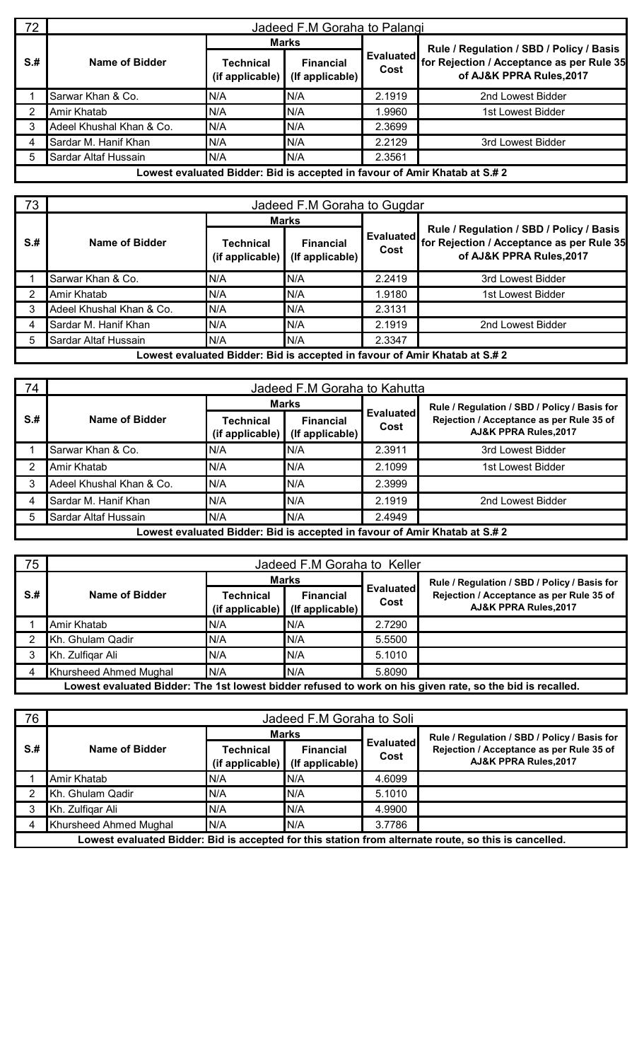| 72   | Jadeed F.M Goraha to Palangi                                               |                              |                                     |                          |                                                                       |  |  |  |  |  |
|------|----------------------------------------------------------------------------|------------------------------|-------------------------------------|--------------------------|-----------------------------------------------------------------------|--|--|--|--|--|
|      |                                                                            | <b>Marks</b>                 |                                     |                          | Rule / Regulation / SBD / Policy / Basis                              |  |  |  |  |  |
| $S+$ | Name of Bidder                                                             | Technical<br>(if applicable) | <b>Financial</b><br>(If applicable) | <b>Evaluated</b><br>Cost | for Rejection / Acceptance as per Rule 35<br>of AJ&K PPRA Rules, 2017 |  |  |  |  |  |
|      | Sarwar Khan & Co.                                                          | N/A                          | N/A                                 | 2.1919                   | 2nd Lowest Bidder                                                     |  |  |  |  |  |
|      | Amir Khatab                                                                | N/A                          | N/A                                 | 1.9960                   | 1st Lowest Bidder                                                     |  |  |  |  |  |
| 3    | Adeel Khushal Khan & Co.                                                   | N/A                          | N/A                                 | 2.3699                   |                                                                       |  |  |  |  |  |
|      | Sardar M. Hanif Khan                                                       | N/A                          | N/A                                 | 2.2129                   | 3rd Lowest Bidder                                                     |  |  |  |  |  |
| 5    | Sardar Altaf Hussain                                                       | N/A                          | N/A                                 | 2.3561                   |                                                                       |  |  |  |  |  |
|      | Lowest evaluated Bidder: Bid is accepted in favour of Amir Khatab at S.# 2 |                              |                                     |                          |                                                                       |  |  |  |  |  |

| 73   | Jadeed F.M Goraha to Gugdar                                                |                                        |                                     |                   |                                                                                                                   |  |  |  |  |  |  |
|------|----------------------------------------------------------------------------|----------------------------------------|-------------------------------------|-------------------|-------------------------------------------------------------------------------------------------------------------|--|--|--|--|--|--|
|      |                                                                            | <b>Marks</b>                           |                                     |                   |                                                                                                                   |  |  |  |  |  |  |
| $S+$ | Name of Bidder                                                             | <b>Technical</b><br>$(i$ f applicable) | <b>Financial</b><br>(If applicable) | Evaluated<br>Cost | Rule / Regulation / SBD / Policy / Basis<br>for Rejection / Acceptance as per Rule 35<br>of AJ&K PPRA Rules, 2017 |  |  |  |  |  |  |
|      | Sarwar Khan & Co.                                                          | N/A                                    | N/A                                 | 2.2419            | 3rd Lowest Bidder                                                                                                 |  |  |  |  |  |  |
|      | Amir Khatab                                                                | N/A                                    | N/A                                 | 1.9180            | 1st Lowest Bidder                                                                                                 |  |  |  |  |  |  |
|      | Adeel Khushal Khan & Co.                                                   | N/A                                    | N/A                                 | 2.3131            |                                                                                                                   |  |  |  |  |  |  |
|      | Sardar M. Hanif Khan                                                       | N/A                                    | N/A                                 | 2.1919            | 2nd Lowest Bidder                                                                                                 |  |  |  |  |  |  |
|      | Sardar Altaf Hussain                                                       | N/A                                    | N/A                                 | 2.3347            |                                                                                                                   |  |  |  |  |  |  |
|      | Lowest evaluated Bidder: Bid is accepted in favour of Amir Khatab at S.# 2 |                                        |                                     |                   |                                                                                                                   |  |  |  |  |  |  |

| 74   | Jadeed F.M Goraha to Kahutta |                                                                            |                                     |                          |                                                                   |  |  |  |
|------|------------------------------|----------------------------------------------------------------------------|-------------------------------------|--------------------------|-------------------------------------------------------------------|--|--|--|
|      | Name of Bidder               |                                                                            | <b>Marks</b>                        | <b>Evaluated</b><br>Cost | Rule / Regulation / SBD / Policy / Basis for                      |  |  |  |
| $S+$ |                              | Technical<br>(if applicable)                                               | <b>Financial</b><br>(If applicable) |                          | Rejection / Acceptance as per Rule 35 of<br>AJ&K PPRA Rules, 2017 |  |  |  |
|      | Sarwar Khan & Co.            | N/A                                                                        | N/A                                 | 2.3911                   | 3rd Lowest Bidder                                                 |  |  |  |
| ົ    | Amir Khatab                  | N/A                                                                        | N/A                                 | 2.1099                   | 1st Lowest Bidder                                                 |  |  |  |
| 3    | Adeel Khushal Khan & Co.     | N/A                                                                        | N/A                                 | 2.3999                   |                                                                   |  |  |  |
|      | Sardar M. Hanif Khan         | N/A                                                                        | N/A                                 | 2.1919                   | 2nd Lowest Bidder                                                 |  |  |  |
| 5    | Sardar Altaf Hussain         | N/A                                                                        | N/A                                 | 2.4949                   |                                                                   |  |  |  |
|      |                              | Lowest evaluated Bidder: Bid is accepted in favour of Amir Khatab at S.# 2 |                                     |                          |                                                                   |  |  |  |

| 75   | Jadeed F.M Goraha to Keller |              |                                                       |                          |                                                                                                           |  |  |  |
|------|-----------------------------|--------------|-------------------------------------------------------|--------------------------|-----------------------------------------------------------------------------------------------------------|--|--|--|
|      | Name of Bidder              | <b>Marks</b> |                                                       |                          | Rule / Regulation / SBD / Policy / Basis for                                                              |  |  |  |
| $S+$ |                             | Technical    | <b>Financial</b><br>$(if applicable)$ (If applicable) | <b>Evaluated</b><br>Cost | Rejection / Acceptance as per Rule 35 of<br>AJ&K PPRA Rules, 2017                                         |  |  |  |
|      | Amir Khatab                 | N/A          | N/A                                                   | 2.7290                   |                                                                                                           |  |  |  |
|      | Kh. Ghulam Qadir            | N/A          | N/A                                                   | 5.5500                   |                                                                                                           |  |  |  |
|      | Kh. Zulfigar Ali            | N/A          | N/A                                                   | 5.1010                   |                                                                                                           |  |  |  |
|      | Khursheed Ahmed Mughal      | N/A          | N/A                                                   | 5.8090                   |                                                                                                           |  |  |  |
|      |                             |              |                                                       |                          | Lowest evaluated Bidder: The 1st lowest bidder refused to work on his given rate, so the bid is recalled. |  |  |  |

| 76   | Jadeed F.M Goraha to Soli |                              |                                     |                          |                                                                                                       |  |  |  |
|------|---------------------------|------------------------------|-------------------------------------|--------------------------|-------------------------------------------------------------------------------------------------------|--|--|--|
|      | Name of Bidder            | <b>Marks</b>                 |                                     |                          | Rule / Regulation / SBD / Policy / Basis for                                                          |  |  |  |
| $S+$ |                           | Technical<br>(if applicable) | <b>Financial</b><br>(If applicable) | <b>Evaluated</b><br>Cost | Rejection / Acceptance as per Rule 35 of<br>AJ&K PPRA Rules, 2017                                     |  |  |  |
|      | Amir Khatab               | N/A                          | N/A                                 | 4.6099                   |                                                                                                       |  |  |  |
|      | Kh. Ghulam Qadir          | N/A                          | N/A                                 | 5.1010                   |                                                                                                       |  |  |  |
|      | Kh. Zulfigar Ali          | N/A                          | N/A                                 | 4.9900                   |                                                                                                       |  |  |  |
|      | Khursheed Ahmed Mughal    | N/A                          | N/A                                 | 3.7786                   |                                                                                                       |  |  |  |
|      |                           |                              |                                     |                          | Lowest evaluated Bidder: Bid is accepted for this station from alternate route, so this is cancelled. |  |  |  |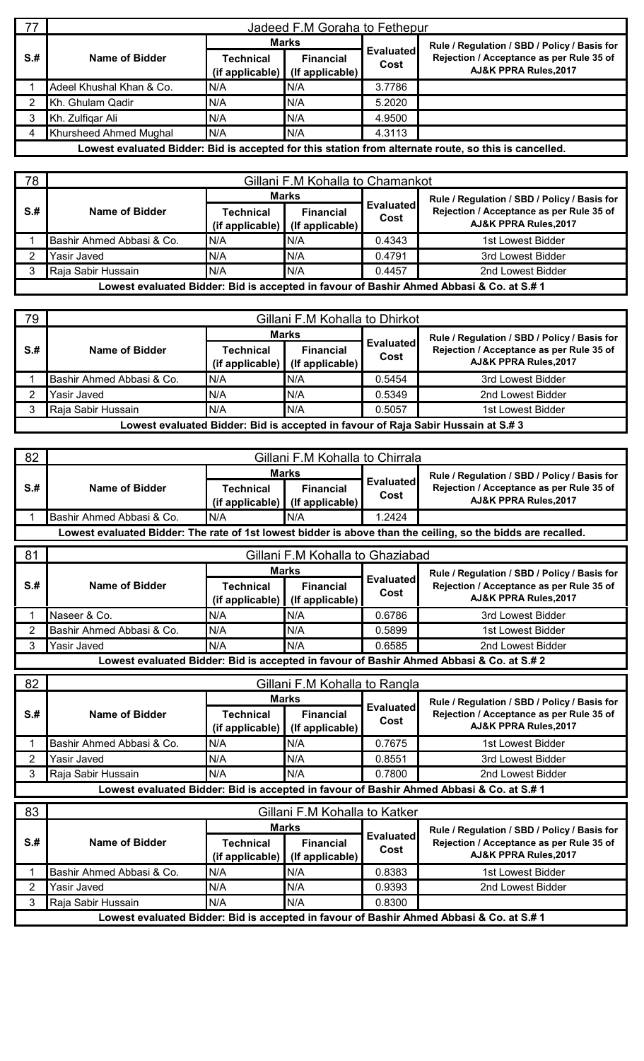| 77   | Jadeed F.M Goraha to Fethepur |              |                                                     |                          |                                                                                                       |  |  |  |
|------|-------------------------------|--------------|-----------------------------------------------------|--------------------------|-------------------------------------------------------------------------------------------------------|--|--|--|
|      | Name of Bidder                | <b>Marks</b> |                                                     |                          | Rule / Regulation / SBD / Policy / Basis for                                                          |  |  |  |
| $S+$ |                               | Technical    | <b>Financial</b><br>(if applicable) (If applicable) | <b>Evaluated</b><br>Cost | Rejection / Acceptance as per Rule 35 of<br>AJ&K PPRA Rules, 2017                                     |  |  |  |
|      | Adeel Khushal Khan & Co.      | N/A          | N/A                                                 | 3.7786                   |                                                                                                       |  |  |  |
|      | Kh. Ghulam Qadir              | N/A          | N/A                                                 | 5.2020                   |                                                                                                       |  |  |  |
|      | Kh. Zulfigar Ali              | N/A          | N/A                                                 | 4.9500                   |                                                                                                       |  |  |  |
| 4    | Khursheed Ahmed Mughal        | N/A          | N/A                                                 | 4.3113                   |                                                                                                       |  |  |  |
|      |                               |              |                                                     |                          | Lowest evaluated Bidder: Bid is accepted for this station from alternate route, so this is cancelled. |  |  |  |

| 78  | Gillani F.M Kohalla to Chamankot                                                         |              |                                                     |                          |                                                                   |  |  |  |  |  |
|-----|------------------------------------------------------------------------------------------|--------------|-----------------------------------------------------|--------------------------|-------------------------------------------------------------------|--|--|--|--|--|
|     |                                                                                          | <b>Marks</b> |                                                     |                          | Rule / Regulation / SBD / Policy / Basis for                      |  |  |  |  |  |
| S.# | Name of Bidder                                                                           | Technical    | <b>Financial</b><br>(if applicable) (If applicable) | <b>Evaluated</b><br>Cost | Rejection / Acceptance as per Rule 35 of<br>AJ&K PPRA Rules, 2017 |  |  |  |  |  |
|     | Bashir Ahmed Abbasi & Co.                                                                | N/A          | N/A                                                 | 0.4343                   | 1st Lowest Bidder                                                 |  |  |  |  |  |
|     | Yasir Javed                                                                              | N/A          | N/A                                                 | 0.4791                   | 3rd Lowest Bidder                                                 |  |  |  |  |  |
|     | Raja Sabir Hussain                                                                       | N/A          | N/A                                                 | 0.4457                   | 2nd Lowest Bidder                                                 |  |  |  |  |  |
|     | Lowest evaluated Bidder: Bid is accepted in favour of Bashir Ahmed Abbasi & Co. at S.# 1 |              |                                                     |                          |                                                                   |  |  |  |  |  |

| 79                                                                                | Gillani F.M Kohalla to Dhirkot |              |                                                     |                          |                                                                   |  |  |  |  |
|-----------------------------------------------------------------------------------|--------------------------------|--------------|-----------------------------------------------------|--------------------------|-------------------------------------------------------------------|--|--|--|--|
|                                                                                   |                                | <b>Marks</b> |                                                     |                          | Rule / Regulation / SBD / Policy / Basis for                      |  |  |  |  |
| $S+$                                                                              | Name of Bidder                 | Technical    | <b>Financial</b><br>(if applicable) (If applicable) | <b>Evaluated</b><br>Cost | Rejection / Acceptance as per Rule 35 of<br>AJ&K PPRA Rules, 2017 |  |  |  |  |
|                                                                                   | Bashir Ahmed Abbasi & Co.      | N/A          | N/A                                                 | 0.5454                   | 3rd Lowest Bidder                                                 |  |  |  |  |
|                                                                                   | <b>Yasir Javed</b>             | N/A          | IN/A                                                | 0.5349                   | 2nd Lowest Bidder                                                 |  |  |  |  |
|                                                                                   | Raja Sabir Hussain             | N/A          | N/A                                                 | 0.5057                   | 1st Lowest Bidder                                                 |  |  |  |  |
| Lowest evaluated Bidder: Bid is accepted in favour of Raja Sabir Hussain at S.# 3 |                                |              |                                                     |                          |                                                                   |  |  |  |  |

| 82              |                           |                                     | Gillani F.M Kohalla to Chirrala     |                          |                                                                                                              |
|-----------------|---------------------------|-------------------------------------|-------------------------------------|--------------------------|--------------------------------------------------------------------------------------------------------------|
|                 |                           | <b>Marks</b>                        |                                     |                          | Rule / Regulation / SBD / Policy / Basis for                                                                 |
| S <sub>.#</sub> | <b>Name of Bidder</b>     | <b>Technical</b><br>(if applicable) | <b>Financial</b><br>(If applicable) | <b>Evaluated</b><br>Cost | Rejection / Acceptance as per Rule 35 of<br>AJ&K PPRA Rules, 2017                                            |
|                 | Bashir Ahmed Abbasi & Co. | N/A                                 | N/A                                 | 1.2424                   |                                                                                                              |
|                 |                           |                                     |                                     |                          | Lowest evaluated Bidder: The rate of 1st lowest bidder is above than the ceiling, so the bidds are recalled. |
| 81              |                           |                                     | Gillani F.M Kohalla to Ghaziabad    |                          |                                                                                                              |
|                 |                           |                                     | <b>Marks</b>                        |                          | Rule / Regulation / SBD / Policy / Basis for                                                                 |
| $S+$            | <b>Name of Bidder</b>     | <b>Technical</b><br>(if applicable) | <b>Financial</b><br>(If applicable) | <b>Evaluated</b><br>Cost | Rejection / Acceptance as per Rule 35 of<br>AJ&K PPRA Rules, 2017                                            |
|                 | Naseer & Co.              | N/A                                 | N/A                                 | 0.6786                   | 3rd Lowest Bidder                                                                                            |
| $\overline{2}$  | Bashir Ahmed Abbasi & Co. | N/A                                 | N/A                                 | 0.5899                   | 1st Lowest Bidder                                                                                            |
| 3               | Yasir Javed               | N/A                                 | N/A                                 | 0.6585                   | 2nd Lowest Bidder                                                                                            |
|                 |                           |                                     |                                     |                          | Lowest evaluated Bidder: Bid is accepted in favour of Bashir Ahmed Abbasi & Co. at S.# 2                     |
| 82              |                           |                                     | Gillani F.M Kohalla to Rangla       |                          |                                                                                                              |
|                 |                           |                                     | <b>Marks</b>                        | <b>Evaluated</b>         | Rule / Regulation / SBD / Policy / Basis for                                                                 |
|                 |                           |                                     |                                     |                          |                                                                                                              |
| S <sub>.#</sub> | <b>Name of Bidder</b>     | <b>Technical</b><br>(if applicable) | <b>Financial</b><br>(If applicable) | Cost                     | Rejection / Acceptance as per Rule 35 of<br>AJ&K PPRA Rules, 2017                                            |
|                 | Bashir Ahmed Abbasi & Co. | N/A                                 | N/A                                 | 0.7675                   | 1st Lowest Bidder                                                                                            |
| $\overline{2}$  | Yasir Javed               | N/A                                 | N/A                                 | 0.8551                   | 3rd Lowest Bidder                                                                                            |
| 3               | Raja Sabir Hussain        | N/A                                 | N/A                                 | 0.7800                   | 2nd Lowest Bidder                                                                                            |
|                 |                           |                                     |                                     |                          | Lowest evaluated Bidder: Bid is accepted in favour of Bashir Ahmed Abbasi & Co. at S.#1                      |
| 83              |                           |                                     | Gillani F.M Kohalla to Katker       |                          |                                                                                                              |
|                 |                           |                                     | <b>Marks</b>                        |                          | Rule / Regulation / SBD / Policy / Basis for                                                                 |
| S <sub>.#</sub> | <b>Name of Bidder</b>     | <b>Technical</b><br>(if applicable) | <b>Financial</b><br>(If applicable) | <b>Evaluated</b><br>Cost | Rejection / Acceptance as per Rule 35 of<br>AJ&K PPRA Rules, 2017                                            |
|                 | Bashir Ahmed Abbasi & Co. | N/A                                 | N/A                                 | 0.8383                   | 1st Lowest Bidder                                                                                            |
| $\overline{2}$  | Yasir Javed               | N/A                                 | N/A                                 | 0.9393                   | 2nd Lowest Bidder                                                                                            |
| 3               | Raja Sabir Hussain        | N/A                                 | N/A                                 | 0.8300                   |                                                                                                              |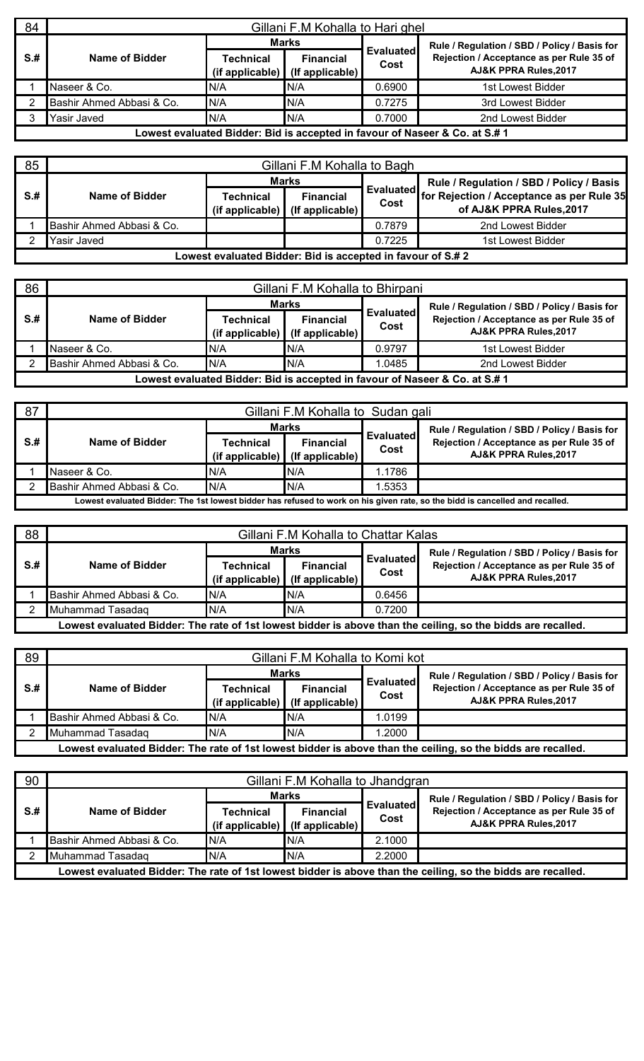| 84   | Gillani F.M Kohalla to Hari ghel |           |                                                     |                          |                                                                             |  |  |  |
|------|----------------------------------|-----------|-----------------------------------------------------|--------------------------|-----------------------------------------------------------------------------|--|--|--|
|      |                                  |           | <b>Marks</b>                                        |                          | Rule / Regulation / SBD / Policy / Basis for                                |  |  |  |
| $S+$ | Name of Bidder                   | Technical | <b>Financial</b><br>(if applicable) (If applicable) | <b>Evaluated</b><br>Cost | Rejection / Acceptance as per Rule 35 of<br>AJ&K PPRA Rules, 2017           |  |  |  |
|      | Naseer & Co.                     | N/A       | N/A                                                 | 0.6900                   | 1st Lowest Bidder                                                           |  |  |  |
|      | Bashir Ahmed Abbasi & Co.        | N/A       | N/A                                                 | 0.7275                   | 3rd Lowest Bidder                                                           |  |  |  |
|      | Yasir Javed                      | N/A       | N/A                                                 | 0.7000                   | 2nd Lowest Bidder                                                           |  |  |  |
|      |                                  |           |                                                     |                          | Lowest evaluated Bidder: Bid is accepted in favour of Naseer & Co. at S.# 1 |  |  |  |

| 85   |                           |                                                             | Gillani F.M Kohalla to Bagh         |                          |                                                                       |
|------|---------------------------|-------------------------------------------------------------|-------------------------------------|--------------------------|-----------------------------------------------------------------------|
|      |                           |                                                             | <b>Marks</b>                        |                          | Rule / Regulation / SBD / Policy / Basis                              |
| $S+$ | Name of Bidder            | Technical<br>$(i$ f applicable)                             | <b>Financial</b><br>(If applicable) | <b>Evaluated</b><br>Cost | for Rejection / Acceptance as per Rule 35<br>of AJ&K PPRA Rules, 2017 |
|      | Bashir Ahmed Abbasi & Co. |                                                             |                                     | 0.7879                   | 2nd Lowest Bidder                                                     |
|      | Yasir Javed               |                                                             |                                     | 0.7225                   | 1st Lowest Bidder                                                     |
|      |                           | Lowest evaluated Bidder: Bid is accepted in favour of S.# 2 |                                     |                          |                                                                       |

| 86   |                           |                 | Gillani F.M Kohalla to Bhirpani |                          |                                                                             |
|------|---------------------------|-----------------|---------------------------------|--------------------------|-----------------------------------------------------------------------------|
|      |                           |                 | <b>Marks</b>                    |                          | Rule / Regulation / SBD / Policy / Basis for                                |
| $S+$ | Name of Bidder            | Technical       | <b>Financial</b>                | <b>Evaluated</b><br>Cost | Rejection / Acceptance as per Rule 35 of                                    |
|      |                           | (if applicable) | (If applicable)                 |                          | AJ&K PPRA Rules, 2017                                                       |
|      | Naseer & Co.              | N/A             | N/A                             | 0.9797                   | 1st Lowest Bidder                                                           |
|      | Bashir Ahmed Abbasi & Co. | N/A             | N/A                             | 1.0485                   | 2nd Lowest Bidder                                                           |
|      |                           |                 |                                 |                          | Lowest evaluated Bidder: Bid is accepted in favour of Naseer & Co. at S.# 1 |

| 87  |                           |           | Gillani F.M Kohalla to Sudan gali                                   |                          |                                                                                                                              |
|-----|---------------------------|-----------|---------------------------------------------------------------------|--------------------------|------------------------------------------------------------------------------------------------------------------------------|
|     |                           |           | <b>Marks</b>                                                        |                          | Rule / Regulation / SBD / Policy / Basis for                                                                                 |
| S.# | Name of Bidder            | Technical | <b>Financial</b><br>(if applicable) $\vert$ (if applicable) $\vert$ | <b>Evaluated</b><br>Cost | Rejection / Acceptance as per Rule 35 of<br>AJ&K PPRA Rules, 2017                                                            |
|     | Naseer & Co.              | N/A       | IN/A                                                                | .1786                    |                                                                                                                              |
|     | Bashir Ahmed Abbasi & Co. | IN/A      | IN/A                                                                | .5353                    |                                                                                                                              |
|     |                           |           |                                                                     |                          | Lowest evaluated Bidder: The 1st lowest bidder has refused to work on his given rate, so the bidd is cancelled and recalled. |

| 88   |                           |                                 | Gillani F.M Kohalla to Chattar Kalas |                   |                                                                                                              |
|------|---------------------------|---------------------------------|--------------------------------------|-------------------|--------------------------------------------------------------------------------------------------------------|
|      |                           |                                 | <b>Marks</b>                         |                   | Rule / Regulation / SBD / Policy / Basis for                                                                 |
| $S+$ | Name of Bidder            | Technical<br>$(i$ f applicable) | <b>Financial</b><br>(If applicable)  | Evaluated<br>Cost | Rejection / Acceptance as per Rule 35 of<br>AJ&K PPRA Rules, 2017                                            |
|      | Bashir Ahmed Abbasi & Co. | N/A                             | IN/A                                 | 0.6456            |                                                                                                              |
|      | Muhammad Tasadag          | N/A                             | IN/A                                 | 0.7200            |                                                                                                              |
|      |                           |                                 |                                      |                   | Lowest evaluated Bidder: The rate of 1st lowest bidder is above than the ceiling, so the bidds are recalled. |

| 89   |                           |                                 | Gillani F.M Kohalla to Komi kot     |                          |                                                                                                              |
|------|---------------------------|---------------------------------|-------------------------------------|--------------------------|--------------------------------------------------------------------------------------------------------------|
|      |                           |                                 | <b>Marks</b>                        |                          | Rule / Regulation / SBD / Policy / Basis for                                                                 |
| $S+$ | Name of Bidder            | Technical<br>$(i$ f applicable) | <b>Financial</b><br>(If applicable) | <b>Evaluated</b><br>Cost | Rejection / Acceptance as per Rule 35 of<br><b>AJ&amp;K PPRA Rules.2017</b>                                  |
|      | Bashir Ahmed Abbasi & Co. | N/A                             | IN/A                                | 1.0199                   |                                                                                                              |
|      | Muhammad Tasadag          | IN/A                            | N/A                                 | 1.2000                   |                                                                                                              |
|      |                           |                                 |                                     |                          | Lowest evaluated Bidder: The rate of 1st lowest bidder is above than the ceiling, so the bidds are recalled. |

| 90   |                           |           | Gillani F.M Kohalla to Jhandgran                    |                          |                                                                                                              |
|------|---------------------------|-----------|-----------------------------------------------------|--------------------------|--------------------------------------------------------------------------------------------------------------|
|      |                           |           | <b>Marks</b>                                        |                          | Rule / Regulation / SBD / Policy / Basis for                                                                 |
| $S+$ | Name of Bidder            | Technical | <b>Financial</b><br>(if applicable) (If applicable) | <b>Evaluated</b><br>Cost | Rejection / Acceptance as per Rule 35 of<br>AJ&K PPRA Rules, 2017                                            |
|      | Bashir Ahmed Abbasi & Co. | IN/A      | IN/A                                                | 2.1000                   |                                                                                                              |
|      | Muhammad Tasadaq          | N/A       | IN/A                                                | 2.2000                   |                                                                                                              |
|      |                           |           |                                                     |                          | Lowest evaluated Bidder: The rate of 1st lowest bidder is above than the ceiling, so the bidds are recalled. |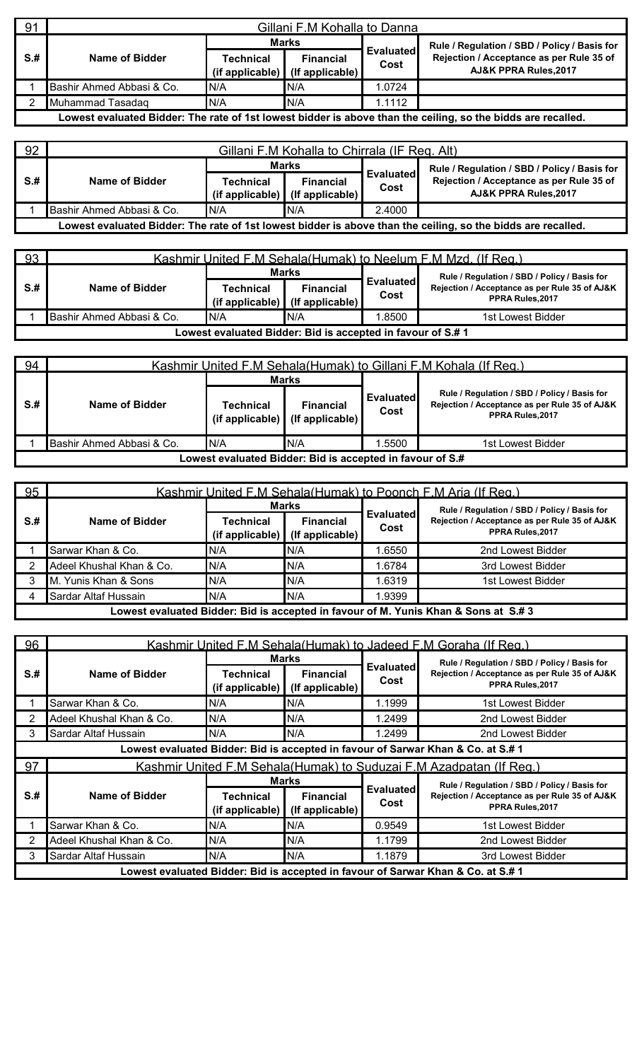| 91   |                           |           | Gillani F.M Kohalla to Danna                        |                   |                                                                                                              |
|------|---------------------------|-----------|-----------------------------------------------------|-------------------|--------------------------------------------------------------------------------------------------------------|
|      |                           |           | <b>Marks</b>                                        |                   | Rule / Regulation / SBD / Policy / Basis for                                                                 |
| $S+$ | Name of Bidder            | Technical | <b>Financial</b><br>(if applicable) (If applicable) | Evaluated<br>Cost | Rejection / Acceptance as per Rule 35 of<br>AJ&K PPRA Rules, 2017                                            |
|      | Bashir Ahmed Abbasi & Co. | N/A       | N/A                                                 | .0724             |                                                                                                              |
|      | Muhammad Tasadag          | N/A       | N/A                                                 | 1.1112            |                                                                                                              |
|      |                           |           |                                                     |                   | Lowest evaluated Bidder: The rate of 1st lowest bidder is above than the ceiling, so the bidds are recalled. |

| 92  |                           |           | Gillani F.M Kohalla to Chirrala (IF Reg. Alt)         |                          |                                                                                                              |
|-----|---------------------------|-----------|-------------------------------------------------------|--------------------------|--------------------------------------------------------------------------------------------------------------|
|     |                           |           | <b>Marks</b>                                          |                          | Rule / Regulation / SBD / Policy / Basis for                                                                 |
| S.# | Name of Bidder            | Technical | <b>Financial</b><br>$(if applicable)$ (if applicable) | <b>Evaluated</b><br>Cost | Rejection / Acceptance as per Rule 35 of<br>AJ&K PPRA Rules, 2017                                            |
|     | Bashir Ahmed Abbasi & Co. | IN/A      | IN/A                                                  | 2.4000                   |                                                                                                              |
|     |                           |           |                                                       |                          | Lowest evaluated Bidder: The rate of 1st lowest bidder is above than the ceiling, so the bidds are recalled. |

| 93  |                           |                              |                                                            |                          | Kashmir United F.M Sehala (Humak) to Neelum F.M Mzd. (If Reg.)   |
|-----|---------------------------|------------------------------|------------------------------------------------------------|--------------------------|------------------------------------------------------------------|
|     |                           |                              | <b>Marks</b>                                               |                          | Rule / Regulation / SBD / Policy / Basis for                     |
| S.# | Name of Bidder            | Technical<br>(if applicable) | <b>Financial</b><br>$(lf$ applicable)                      | <b>Evaluated</b><br>Cost | Rejection / Acceptance as per Rule 35 of AJ&K<br>PPRA Rules.2017 |
|     | Bashir Ahmed Abbasi & Co. | IN/A                         | IN/A                                                       | .8500                    | 1st Lowest Bidder                                                |
|     |                           |                              | Lowest evaluated Bidder: Bid is accepted in favour of S.#1 |                          |                                                                  |

| 94  |                           |                                                           |                                     |                          | Kashmir United F.M Sehala (Humak) to Gillani F.M Kohala (If Reg.)                                                |  |
|-----|---------------------------|-----------------------------------------------------------|-------------------------------------|--------------------------|------------------------------------------------------------------------------------------------------------------|--|
|     |                           |                                                           | <b>Marks</b>                        |                          |                                                                                                                  |  |
| S.# | Name of Bidder            | Technical<br>(if applicable)                              | <b>Financial</b><br>(If applicable) | <b>Evaluated</b><br>Cost | Rule / Regulation / SBD / Policy / Basis for<br>Rejection / Acceptance as per Rule 35 of AJ&K<br>PPRA Rules.2017 |  |
|     | Bashir Ahmed Abbasi & Co. | N/A                                                       | N/A                                 | .5500                    | 1st Lowest Bidder                                                                                                |  |
|     |                           | Lowest evaluated Bidder: Bid is accepted in favour of S.# |                                     |                          |                                                                                                                  |  |

| 95   |                          |                              |                                     |                   | Kashmir United F.M Sehala (Humak) to Poonch F.M Aria (If Reg.)                     |
|------|--------------------------|------------------------------|-------------------------------------|-------------------|------------------------------------------------------------------------------------|
|      |                          |                              | <b>Marks</b>                        |                   | Rule / Regulation / SBD / Policy / Basis for                                       |
| $S+$ | Name of Bidder           | Technical<br>(if applicable) | <b>Financial</b><br>(If applicable) | Evaluated<br>Cost | Rejection / Acceptance as per Rule 35 of AJ&K<br>PPRA Rules, 2017                  |
|      | Sarwar Khan & Co.        | N/A                          | N/A                                 | .6550             | 2nd Lowest Bidder                                                                  |
|      | Adeel Khushal Khan & Co. | N/A                          | N/A                                 | 1.6784            | 3rd Lowest Bidder                                                                  |
|      | M. Yunis Khan & Sons     | IN/A                         | N/A                                 | .6319             | 1st Lowest Bidder                                                                  |
|      | Sardar Altaf Hussain     | N/A                          | N/A                                 | .9399             |                                                                                    |
|      |                          |                              |                                     |                   | Lowest evaluated Bidder: Bid is accepted in favour of M. Yunis Khan & Sons at S.#3 |

| 96   |                          |                                     |                                              |                          | Kashmir United F.M Sehala (Humak) to Jadeed F.M Goraha (If Reg.)                                                  |
|------|--------------------------|-------------------------------------|----------------------------------------------|--------------------------|-------------------------------------------------------------------------------------------------------------------|
| $S+$ | <b>Name of Bidder</b>    | <b>Technical</b><br>(if applicable) | Marks<br><b>Financial</b><br>(If applicable) | <b>Evaluated</b><br>Cost | Rule / Regulation / SBD / Policy / Basis for<br>Rejection / Acceptance as per Rule 35 of AJ&K<br>PPRA Rules, 2017 |
|      | Sarwar Khan & Co.        | N/A                                 | N/A                                          | 1.1999                   | 1st Lowest Bidder                                                                                                 |
|      | Adeel Khushal Khan & Co. | N/A                                 | N/A                                          | 1.2499                   | 2nd Lowest Bidder                                                                                                 |
|      | Sardar Altaf Hussain     | N/A                                 | IN/A                                         | 1.2499                   | 2nd Lowest Bidder                                                                                                 |
|      |                          |                                     |                                              |                          | Lowest evaluated Bidder: Bid is accepted in favour of Sarwar Khan & Co. at S.# 1                                  |
| 97   |                          |                                     |                                              |                          | Kashmir United F.M Sehala (Humak) to Suduzai F.M Azadpatan (If Reg.)                                              |
| $S+$ |                          |                                     | Marks                                        |                          | Rule / Regulation / SBD / Policy / Basis for                                                                      |
|      | Name of Bidder           | Technical<br>(if applicable)        | <b>Financial</b><br>(If applicable)          | <b>Evaluated</b><br>Cost | Rejection / Acceptance as per Rule 35 of AJ&K<br>PPRA Rules, 2017                                                 |
|      | Sarwar Khan & Co.        | N/A                                 | N/A                                          | 0.9549                   | 1st Lowest Bidder                                                                                                 |
| 2    | Adeel Khushal Khan & Co. | N/A                                 | N/A                                          | 1.1799                   | 2nd Lowest Bidder                                                                                                 |
| 3    | Sardar Altaf Hussain     | N/A                                 | N/A                                          | 1.1879                   | 3rd Lowest Bidder                                                                                                 |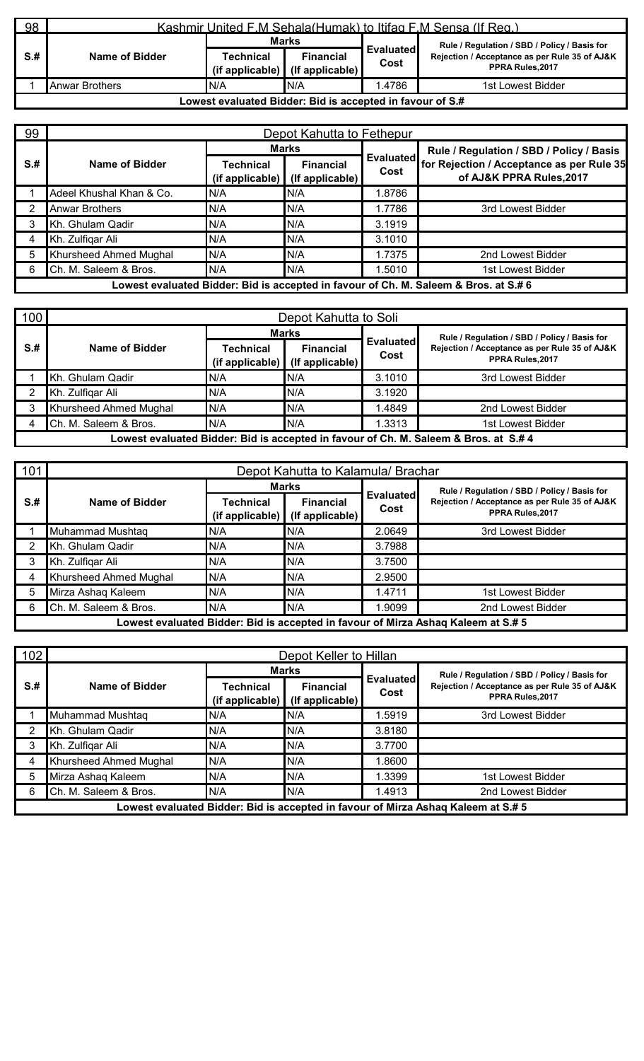| 98                                                        | Kashmir United F.M Sehala (Humak) to Itifag F.M Sensa (If Reg.) |              |                                                           |                   |                                                                  |  |
|-----------------------------------------------------------|-----------------------------------------------------------------|--------------|-----------------------------------------------------------|-------------------|------------------------------------------------------------------|--|
|                                                           |                                                                 | <b>Marks</b> |                                                           |                   | Rule / Regulation / SBD / Policy / Basis for                     |  |
| $S+$                                                      | Name of Bidder                                                  | Technical    | <b>Financial</b><br>$(i$ f applicable) $(i$ f applicable) | Evaluated<br>Cost | Rejection / Acceptance as per Rule 35 of AJ&K<br>PPRA Rules.2017 |  |
|                                                           | Anwar Brothers                                                  | IN/A         | N/A                                                       | .4786             | 1st Lowest Bidder                                                |  |
| Lowest evaluated Bidder: Bid is accepted in favour of S.# |                                                                 |              |                                                           |                   |                                                                  |  |

| 99                                                                                   | Depot Kahutta to Fethepur |                                 |                                     |                          |                                                                       |  |  |
|--------------------------------------------------------------------------------------|---------------------------|---------------------------------|-------------------------------------|--------------------------|-----------------------------------------------------------------------|--|--|
|                                                                                      | Name of Bidder            | <b>Marks</b>                    |                                     |                          | Rule / Regulation / SBD / Policy / Basis                              |  |  |
| $S+$                                                                                 |                           | Technical<br>$(i$ f applicable) | <b>Financial</b><br>(If applicable) | <b>Evaluated</b><br>Cost | for Rejection / Acceptance as per Rule 35<br>of AJ&K PPRA Rules, 2017 |  |  |
|                                                                                      | Adeel Khushal Khan & Co.  | N/A                             | N/A                                 | 1.8786                   |                                                                       |  |  |
|                                                                                      | <b>Anwar Brothers</b>     | N/A                             | N/A                                 | 1.7786                   | 3rd Lowest Bidder                                                     |  |  |
|                                                                                      | Kh. Ghulam Qadir          | N/A                             | N/A                                 | 3.1919                   |                                                                       |  |  |
|                                                                                      | Kh. Zulfigar Ali          | N/A                             | N/A                                 | 3.1010                   |                                                                       |  |  |
| 5                                                                                    | Khursheed Ahmed Mughal    | N/A                             | N/A                                 | 1.7375                   | 2nd Lowest Bidder                                                     |  |  |
| 6                                                                                    | Ch. M. Saleem & Bros.     | N/A                             | N/A                                 | 1.5010                   | 1st Lowest Bidder                                                     |  |  |
| Lowest evaluated Bidder: Bid is accepted in favour of Ch. M. Saleem & Bros. at S.# 6 |                           |                                 |                                     |                          |                                                                       |  |  |

| 100                                                                                  | Depot Kahutta to Soli  |                                     |                                     |                          |                                                                  |  |  |
|--------------------------------------------------------------------------------------|------------------------|-------------------------------------|-------------------------------------|--------------------------|------------------------------------------------------------------|--|--|
|                                                                                      | Name of Bidder         | <b>Marks</b>                        |                                     |                          | Rule / Regulation / SBD / Policy / Basis for                     |  |  |
| $S+$                                                                                 |                        | <b>Technical</b><br>(if applicable) | <b>Financial</b><br>(If applicable) | <b>Evaluated</b><br>Cost | Rejection / Acceptance as per Rule 35 of AJ&K<br>PPRA Rules.2017 |  |  |
|                                                                                      | Kh. Ghulam Qadir       | N/A                                 | N/A                                 | 3.1010                   | 3rd Lowest Bidder                                                |  |  |
|                                                                                      | Kh. Zulfigar Ali       | N/A                                 | N/A                                 | 3.1920                   |                                                                  |  |  |
|                                                                                      | Khursheed Ahmed Mughal | N/A                                 | N/A                                 | .4849                    | 2nd Lowest Bidder                                                |  |  |
|                                                                                      | Ch. M. Saleem & Bros.  | N/A                                 | N/A                                 | .3313                    | 1st Lowest Bidder                                                |  |  |
| Lowest evaluated Bidder: Bid is accepted in favour of Ch. M. Saleem & Bros. at S.# 4 |                        |                                     |                                     |                          |                                                                  |  |  |

| 101  | Depot Kahutta to Kalamula/ Brachar |                              |                                     |                          |                                                                                   |  |
|------|------------------------------------|------------------------------|-------------------------------------|--------------------------|-----------------------------------------------------------------------------------|--|
|      | Name of Bidder                     | <b>Marks</b>                 |                                     |                          | Rule / Regulation / SBD / Policy / Basis for                                      |  |
| $S+$ |                                    | Technical<br>(if applicable) | <b>Financial</b><br>(If applicable) | <b>Evaluated</b><br>Cost | Rejection / Acceptance as per Rule 35 of AJ&K<br>PPRA Rules.2017                  |  |
|      | Muhammad Mushtaq                   | IN/A                         | N/A                                 | 2.0649                   | 3rd Lowest Bidder                                                                 |  |
|      | Kh. Ghulam Qadir                   | N/A                          | N/A                                 | 3.7988                   |                                                                                   |  |
|      | Kh. Zulfigar Ali                   | N/A                          | N/A                                 | 3.7500                   |                                                                                   |  |
|      | Khursheed Ahmed Mughal             | N/A                          | N/A                                 | 2.9500                   |                                                                                   |  |
|      | Mirza Ashaq Kaleem                 | N/A                          | N/A                                 | 1.4711                   | 1st Lowest Bidder                                                                 |  |
| 6    | Ch. M. Saleem & Bros.              | N/A                          | N/A                                 | .9099                    | 2nd Lowest Bidder                                                                 |  |
|      |                                    |                              |                                     |                          | Lowest evaluated Bidder: Bid is accepted in favour of Mirza Ashaq Kaleem at S.# 5 |  |

| 102  | Depot Keller to Hillan |                              |                                     |                          |                                                                                   |  |  |
|------|------------------------|------------------------------|-------------------------------------|--------------------------|-----------------------------------------------------------------------------------|--|--|
|      | Name of Bidder         |                              | <b>Marks</b>                        |                          | Rule / Regulation / SBD / Policy / Basis for                                      |  |  |
| $S+$ |                        | Technical<br>(if applicable) | <b>Financial</b><br>(If applicable) | <b>Evaluated</b><br>Cost | Rejection / Acceptance as per Rule 35 of AJ&K<br>PPRA Rules, 2017                 |  |  |
|      | Muhammad Mushtaq       | N/A                          | N/A                                 | .5919                    | 3rd Lowest Bidder                                                                 |  |  |
|      | Kh. Ghulam Qadir       | N/A                          | N/A                                 | 3.8180                   |                                                                                   |  |  |
|      | Kh. Zulfigar Ali       | N/A                          | N/A                                 | 3.7700                   |                                                                                   |  |  |
|      | Khursheed Ahmed Mughal | N/A                          | N/A                                 | .8600                    |                                                                                   |  |  |
|      | Mirza Ashaq Kaleem     | N/A                          | N/A                                 | .3399                    | 1st Lowest Bidder                                                                 |  |  |
| 6    | Ch. M. Saleem & Bros.  | N/A                          | N/A                                 | .4913                    | 2nd Lowest Bidder                                                                 |  |  |
|      |                        |                              |                                     |                          | Lowest evaluated Bidder: Bid is accepted in favour of Mirza Ashaq Kaleem at S.# 5 |  |  |